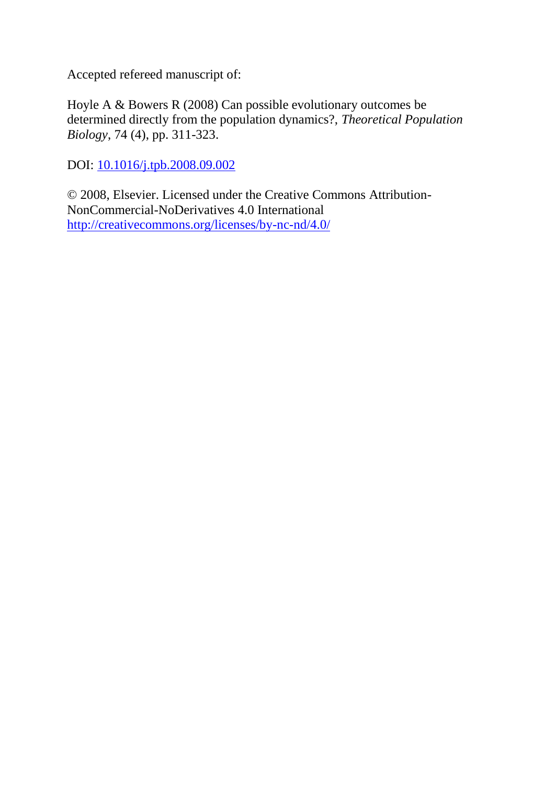Accepted refereed manuscript of:

Hoyle A & Bowers R (2008) Can possible evolutionary outcomes be determined directly from the population dynamics?, *Theoretical Population Biology*, 74 (4), pp. 311-323.

DOI: [10.1016/j.tpb.2008.09.002](http://dx.doi.org/10.1016/j.tpb.2008.09.002)

© 2008, Elsevier. Licensed under the Creative Commons Attribution-NonCommercial-NoDerivatives 4.0 International <http://creativecommons.org/licenses/by-nc-nd/4.0/>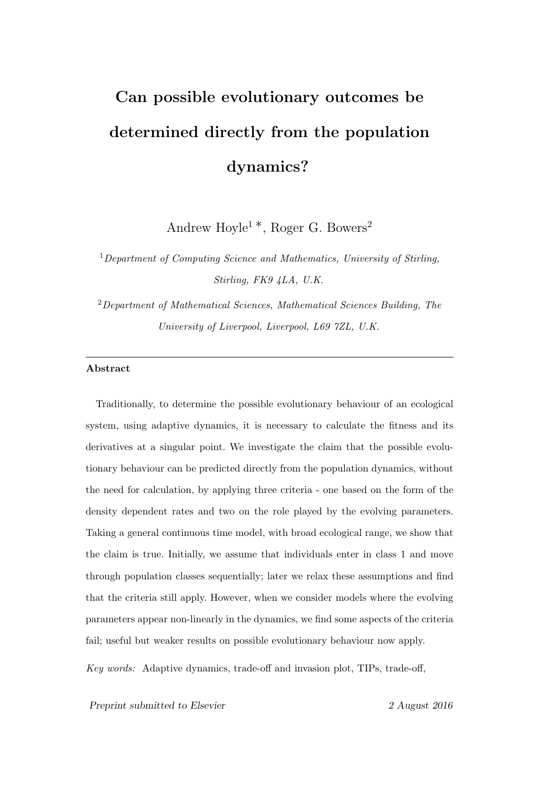# **Can possible evolutionary outcomes be determined directly from the population dynamics?**

Andrew Hoyle<sup>1</sup> *∗*, Roger G. Bowers<sup>2</sup>

<sup>1</sup>*Department of Computing Science and Mathematics, University of Stirling, Stirling, FK9 4LA, U.K.*

<sup>2</sup>*Department of Mathematical Sciences, Mathematical Sciences Building, The University of Liverpool, Liverpool, L69 7ZL, U.K.*

#### **Abstract**

Traditionally, to determine the possible evolutionary behaviour of an ecological system, using adaptive dynamics, it is necessary to calculate the fitness and its derivatives at a singular point. We investigate the claim that the possible evolutionary behaviour can be predicted directly from the population dynamics, without the need for calculation, by applying three criteria - one based on the form of the density dependent rates and two on the role played by the evolving parameters. Taking a general continuous time model, with broad ecological range, we show that the claim is true. Initially, we assume that individuals enter in class 1 and move through population classes sequentially; later we relax these assumptions and find that the criteria still apply. However, when we consider models where the evolving parameters appear non-linearly in the dynamics, we find some aspects of the criteria fail; useful but weaker results on possible evolutionary behaviour now apply.

*Key words:* Adaptive dynamics, trade-off and invasion plot, TIPs, trade-off,

*Preprint submitted to Elsevier 2 August 2016*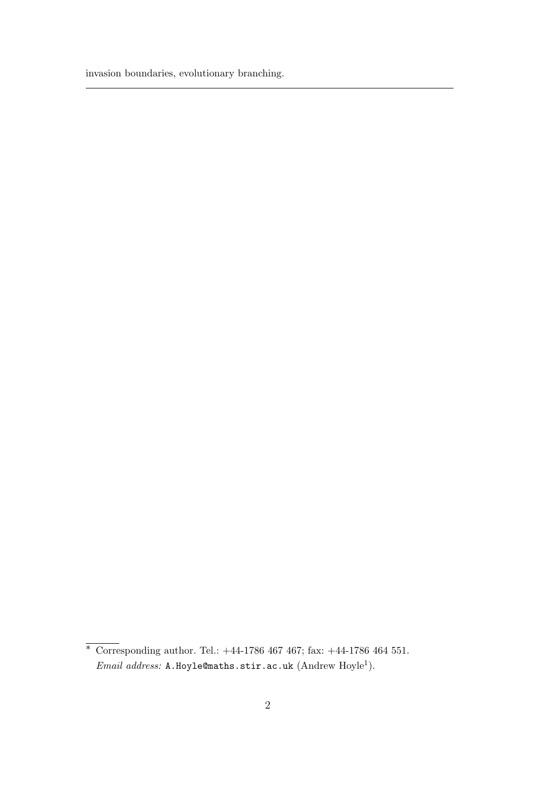invasion boundaries, evolutionary branching.

*<sup>∗</sup>* Corresponding author. Tel.: +44-1786 467 467; fax: +44-1786 464 551. Email address: A.Hoyle@maths.stir.ac.uk (Andrew Hoyle<sup>1</sup>).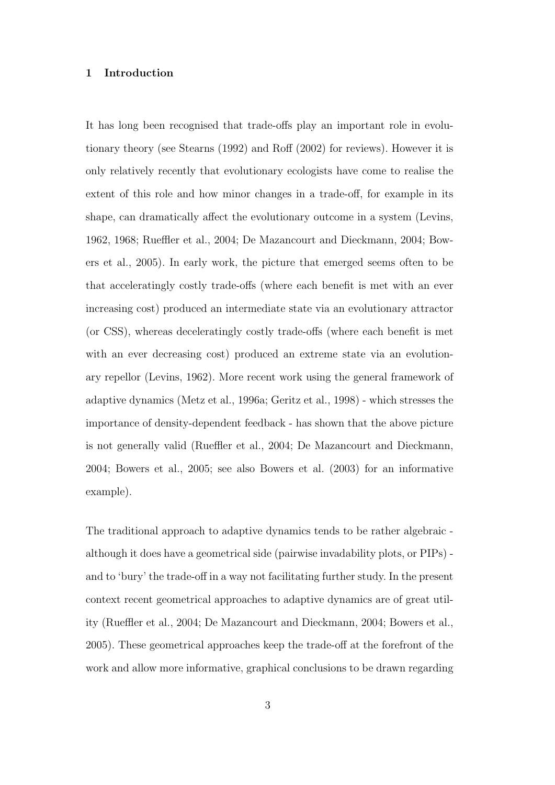#### **1 Introduction**

It has long been recognised that trade-offs play an important role in evolutionary theory (see Stearns (1992) and Roff (2002) for reviews). However it is only relatively recently that evolutionary ecologists have come to realise the extent of this role and how minor changes in a trade-off, for example in its shape, can dramatically affect the evolutionary outcome in a system (Levins, 1962, 1968; Rueffler et al., 2004; De Mazancourt and Dieckmann, 2004; Bowers et al., 2005). In early work, the picture that emerged seems often to be that acceleratingly costly trade-offs (where each benefit is met with an ever increasing cost) produced an intermediate state via an evolutionary attractor (or CSS), whereas deceleratingly costly trade-offs (where each benefit is met with an ever decreasing cost) produced an extreme state via an evolutionary repellor (Levins, 1962). More recent work using the general framework of adaptive dynamics (Metz et al., 1996a; Geritz et al., 1998) - which stresses the importance of density-dependent feedback - has shown that the above picture is not generally valid (Rueffler et al., 2004; De Mazancourt and Dieckmann, 2004; Bowers et al., 2005; see also Bowers et al. (2003) for an informative example).

The traditional approach to adaptive dynamics tends to be rather algebraic although it does have a geometrical side (pairwise invadability plots, or PIPs) and to 'bury' the trade-off in a way not facilitating further study. In the present context recent geometrical approaches to adaptive dynamics are of great utility (Rueffler et al., 2004; De Mazancourt and Dieckmann, 2004; Bowers et al., 2005). These geometrical approaches keep the trade-off at the forefront of the work and allow more informative, graphical conclusions to be drawn regarding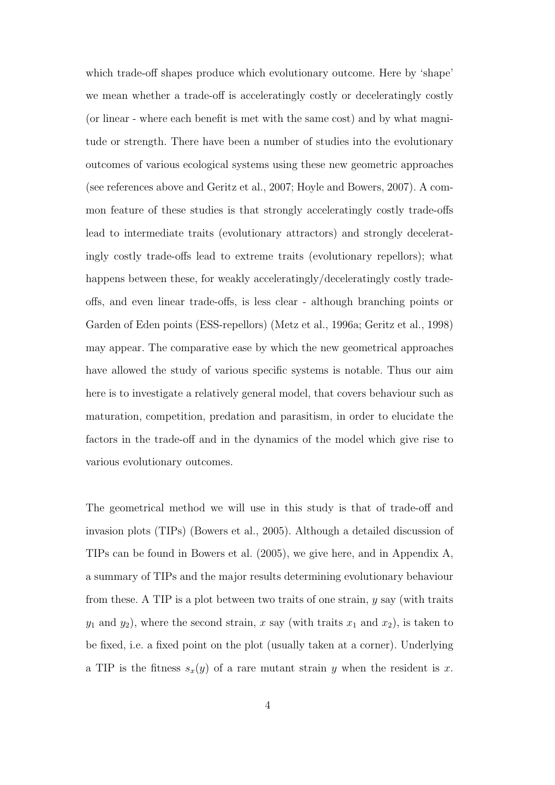which trade-off shapes produce which evolutionary outcome. Here by 'shape' we mean whether a trade-off is acceleratingly costly or deceleratingly costly (or linear - where each benefit is met with the same cost) and by what magnitude or strength. There have been a number of studies into the evolutionary outcomes of various ecological systems using these new geometric approaches (see references above and Geritz et al., 2007; Hoyle and Bowers, 2007). A common feature of these studies is that strongly acceleratingly costly trade-offs lead to intermediate traits (evolutionary attractors) and strongly deceleratingly costly trade-offs lead to extreme traits (evolutionary repellors); what happens between these, for weakly acceleratingly/deceleratingly costly tradeoffs, and even linear trade-offs, is less clear - although branching points or Garden of Eden points (ESS-repellors) (Metz et al., 1996a; Geritz et al., 1998) may appear. The comparative ease by which the new geometrical approaches have allowed the study of various specific systems is notable. Thus our aim here is to investigate a relatively general model, that covers behaviour such as maturation, competition, predation and parasitism, in order to elucidate the factors in the trade-off and in the dynamics of the model which give rise to various evolutionary outcomes.

The geometrical method we will use in this study is that of trade-off and invasion plots (TIPs) (Bowers et al., 2005). Although a detailed discussion of TIPs can be found in Bowers et al. (2005), we give here, and in Appendix A, a summary of TIPs and the major results determining evolutionary behaviour from these. A TIP is a plot between two traits of one strain, *y* say (with traits  $y_1$  and  $y_2$ ), where the second strain, *x* say (with traits  $x_1$  and  $x_2$ ), is taken to be fixed, i.e. a fixed point on the plot (usually taken at a corner). Underlying a TIP is the fitness  $s_x(y)$  of a rare mutant strain *y* when the resident is *x*.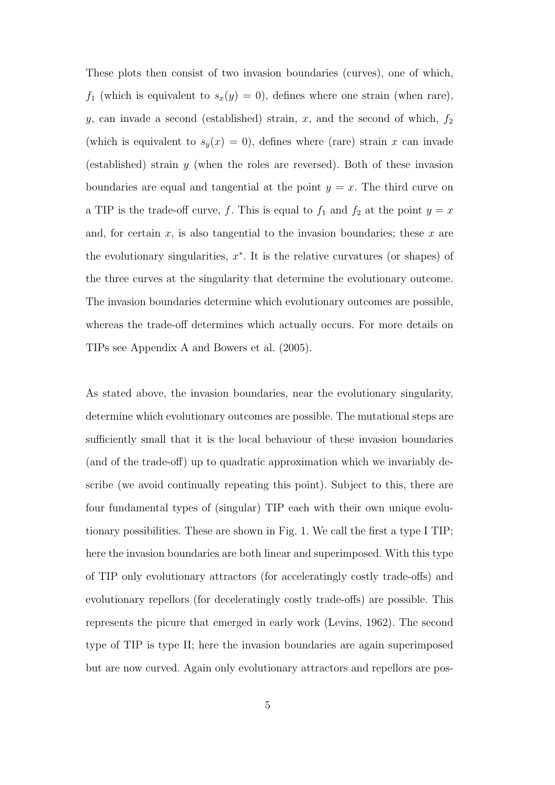These plots then consist of two invasion boundaries (curves), one of which,  $f_1$  (which is equivalent to  $s_x(y) = 0$ ), defines where one strain (when rare), *y*, can invade a second (established) strain,  $x$ , and the second of which,  $f_2$ (which is equivalent to  $s_y(x) = 0$ ), defines where (rare) strain *x* can invade (established) strain *y* (when the roles are reversed). Both of these invasion boundaries are equal and tangential at the point  $y = x$ . The third curve on a TIP is the trade-off curve, *f*. This is equal to  $f_1$  and  $f_2$  at the point  $y = x$ and, for certain *x*, is also tangential to the invasion boundaries; these *x* are the evolutionary singularities,  $x^*$ . It is the relative curvatures (or shapes) of the three curves at the singularity that determine the evolutionary outcome. The invasion boundaries determine which evolutionary outcomes are possible, whereas the trade-off determines which actually occurs. For more details on TIPs see Appendix A and Bowers et al. (2005).

As stated above, the invasion boundaries, near the evolutionary singularity, determine which evolutionary outcomes are possible. The mutational steps are sufficiently small that it is the local behaviour of these invasion boundaries (and of the trade-off) up to quadratic approximation which we invariably describe (we avoid continually repeating this point). Subject to this, there are four fundamental types of (singular) TIP each with their own unique evolutionary possibilities. These are shown in Fig. 1. We call the first a type I TIP; here the invasion boundaries are both linear and superimposed. With this type of TIP only evolutionary attractors (for acceleratingly costly trade-offs) and evolutionary repellors (for deceleratingly costly trade-offs) are possible. This represents the picure that emerged in early work (Levins, 1962). The second type of TIP is type II; here the invasion boundaries are again superimposed but are now curved. Again only evolutionary attractors and repellors are pos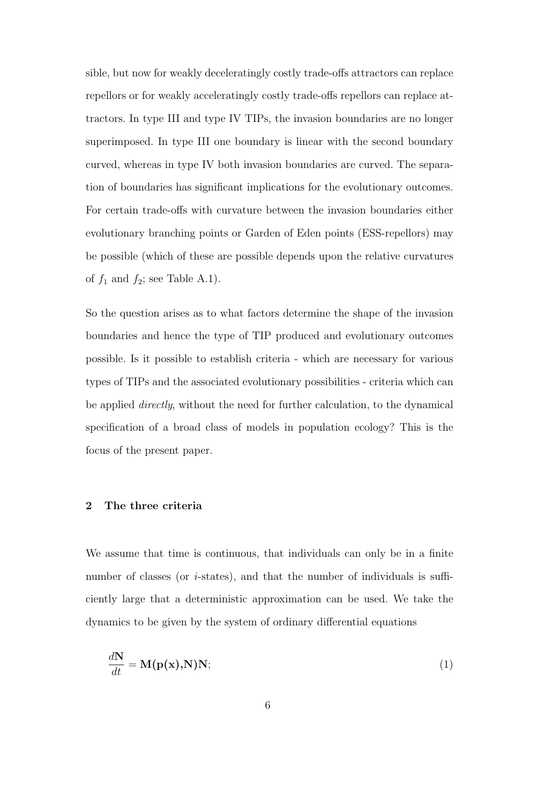sible, but now for weakly deceleratingly costly trade-offs attractors can replace repellors or for weakly acceleratingly costly trade-offs repellors can replace attractors. In type III and type IV TIPs, the invasion boundaries are no longer superimposed. In type III one boundary is linear with the second boundary curved, whereas in type IV both invasion boundaries are curved. The separation of boundaries has significant implications for the evolutionary outcomes. For certain trade-offs with curvature between the invasion boundaries either evolutionary branching points or Garden of Eden points (ESS-repellors) may be possible (which of these are possible depends upon the relative curvatures of  $f_1$  and  $f_2$ ; see Table A.1).

So the question arises as to what factors determine the shape of the invasion boundaries and hence the type of TIP produced and evolutionary outcomes possible. Is it possible to establish criteria - which are necessary for various types of TIPs and the associated evolutionary possibilities - criteria which can be applied *directly*, without the need for further calculation, to the dynamical specification of a broad class of models in population ecology? This is the focus of the present paper.

# **2 The three criteria**

We assume that time is continuous, that individuals can only be in a finite number of classes (or *i*-states), and that the number of individuals is sufficiently large that a deterministic approximation can be used. We take the dynamics to be given by the system of ordinary differential equations

$$
\frac{d\mathbf{N}}{dt} = \mathbf{M}(\mathbf{p}(\mathbf{x}), \mathbf{N})\mathbf{N};
$$
\n(1)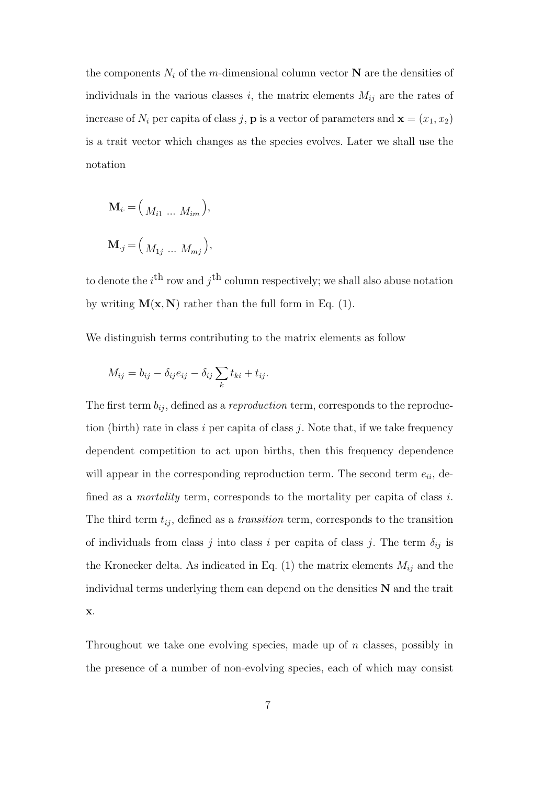the components  $N_i$  of the *m*-dimensional column vector **N** are the densities of individuals in the various classes *i*, the matrix elements  $M_{ij}$  are the rates of increase of  $N_i$  per capita of class *j*, **p** is a vector of parameters and  $\mathbf{x} = (x_1, x_2)$ is a trait vector which changes as the species evolves. Later we shall use the notation

$$
\mathbf{M}_{i} = \Big( M_{i1} \dots M_{im} \Big),
$$
  

$$
\mathbf{M}_{.j} = \Big( M_{1j} \dots M_{mj} \Big),
$$

to denote the  $i^{\text{th}}$  row and  $j^{\text{th}}$  column respectively; we shall also abuse notation by writing  $M(x, N)$  rather than the full form in Eq. (1).

We distinguish terms contributing to the matrix elements as follow

$$
M_{ij} = b_{ij} - \delta_{ij} e_{ij} - \delta_{ij} \sum_k t_{ki} + t_{ij}.
$$

The first term  $b_{ij}$ , defined as a *reproduction* term, corresponds to the reproduction (birth) rate in class *i* per capita of class *j*. Note that, if we take frequency dependent competition to act upon births, then this frequency dependence will appear in the corresponding reproduction term. The second term  $e_{ii}$ , defined as a *mortality* term, corresponds to the mortality per capita of class *i*. The third term  $t_{ij}$ , defined as a *transition* term, corresponds to the transition of individuals from class *j* into class *i* per capita of class *j*. The term  $\delta_{ij}$  is the Kronecker delta. As indicated in Eq.  $(1)$  the matrix elements  $M_{ij}$  and the individual terms underlying them can depend on the densities **N** and the trait **x**.

Throughout we take one evolving species, made up of *n* classes, possibly in the presence of a number of non-evolving species, each of which may consist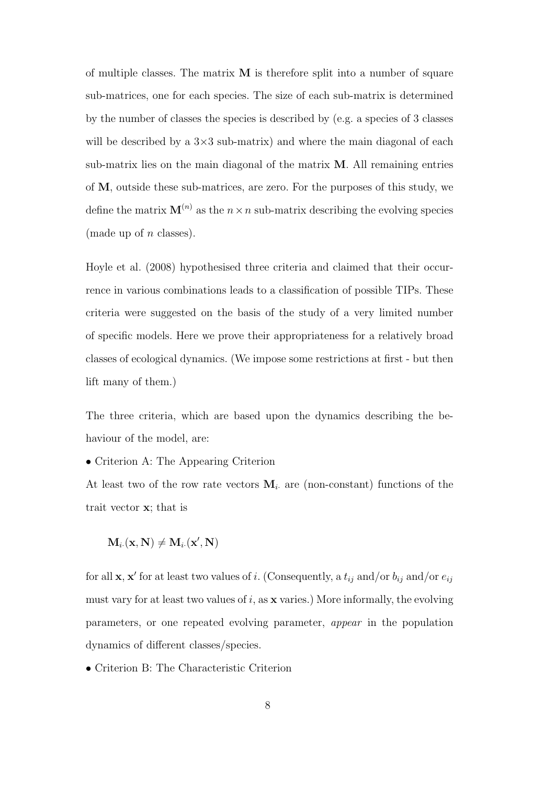of multiple classes. The matrix **M** is therefore split into a number of square sub-matrices, one for each species. The size of each sub-matrix is determined by the number of classes the species is described by (e.g. a species of 3 classes will be described by a  $3\times3$  sub-matrix) and where the main diagonal of each sub-matrix lies on the main diagonal of the matrix **M**. All remaining entries of **M**, outside these sub-matrices, are zero. For the purposes of this study, we define the matrix  $\mathbf{M}^{(n)}$  as the  $n \times n$  sub-matrix describing the evolving species (made up of *n* classes).

Hoyle et al. (2008) hypothesised three criteria and claimed that their occurrence in various combinations leads to a classification of possible TIPs. These criteria were suggested on the basis of the study of a very limited number of specific models. Here we prove their appropriateness for a relatively broad classes of ecological dynamics. (We impose some restrictions at first - but then lift many of them.)

The three criteria, which are based upon the dynamics describing the behaviour of the model, are:

*•* Criterion A: The Appearing Criterion

At least two of the row rate vectors  $M_i$  are (non-constant) functions of the trait vector **x**; that is

$$
\mathbf{M}_{i\cdot}(\mathbf{x},\mathbf{N}) \neq \mathbf{M}_{i\cdot}(\mathbf{x}',\mathbf{N})
$$

for all **x**, **x**<sup> $\prime$ </sup> for at least two values of *i*. (Consequently, a  $t_{ij}$  and/or  $b_{ij}$  and/or  $e_{ij}$ must vary for at least two values of *i*, as **x** varies.) More informally, the evolving parameters, or one repeated evolving parameter, *appear* in the population dynamics of different classes/species.

*•* Criterion B: The Characteristic Criterion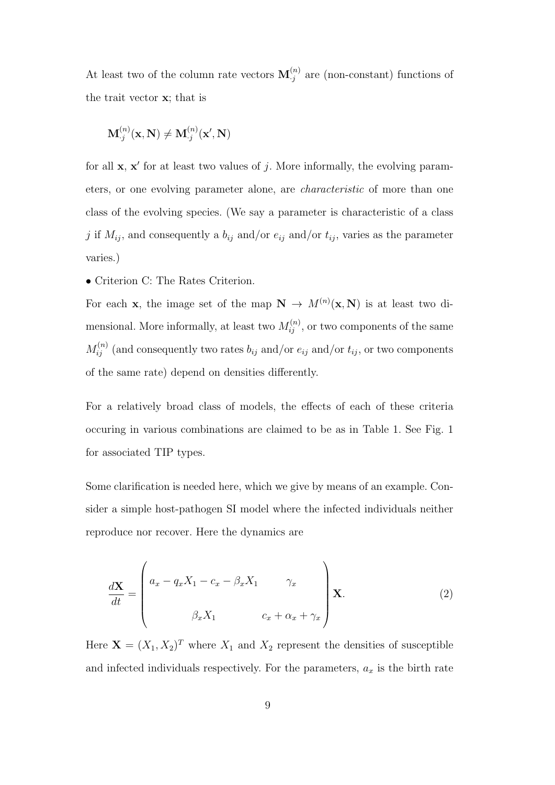At least two of the column rate vectors  $\mathbf{M}_{.j}^{(n)}$  are (non-constant) functions of the trait vector **x**; that is

$$
\mathbf{M}_{\cdot j}^{(n)}(\mathbf{x}, \mathbf{N}) \neq \mathbf{M}_{\cdot j}^{(n)}(\mathbf{x}', \mathbf{N})
$$

for all  $x$ ,  $x'$  for at least two values of *j*. More informally, the evolving parameters, or one evolving parameter alone, are *characteristic* of more than one class of the evolving species. (We say a parameter is characteristic of a class *j* if  $M_{ij}$ , and consequently a  $b_{ij}$  and/or  $e_{ij}$  and/or  $t_{ij}$ , varies as the parameter varies.)

*•* Criterion C: The Rates Criterion.

For each **x**, the image set of the map  $N \to M^{(n)}(x, N)$  is at least two dimensional. More informally, at least two  $M_{ij}^{(n)}$ , or two components of the same  $M_{ij}^{(n)}$  (and consequently two rates  $b_{ij}$  and/or  $e_{ij}$  and/or  $t_{ij}$ , or two components of the same rate) depend on densities differently.

For a relatively broad class of models, the effects of each of these criteria occuring in various combinations are claimed to be as in Table 1. See Fig. 1 for associated TIP types.

Some clarification is needed here, which we give by means of an example. Consider a simple host-pathogen SI model where the infected individuals neither reproduce nor recover. Here the dynamics are

$$
\frac{d\mathbf{X}}{dt} = \begin{pmatrix} a_x - q_x X_1 - c_x - \beta_x X_1 & \gamma_x \\ \beta_x X_1 & c_x + \alpha_x + \gamma_x \end{pmatrix} \mathbf{X}.
$$
 (2)

Here  $\mathbf{X} = (X_1, X_2)^T$  where  $X_1$  and  $X_2$  represent the densities of susceptible and infected individuals respectively. For the parameters,  $a_x$  is the birth rate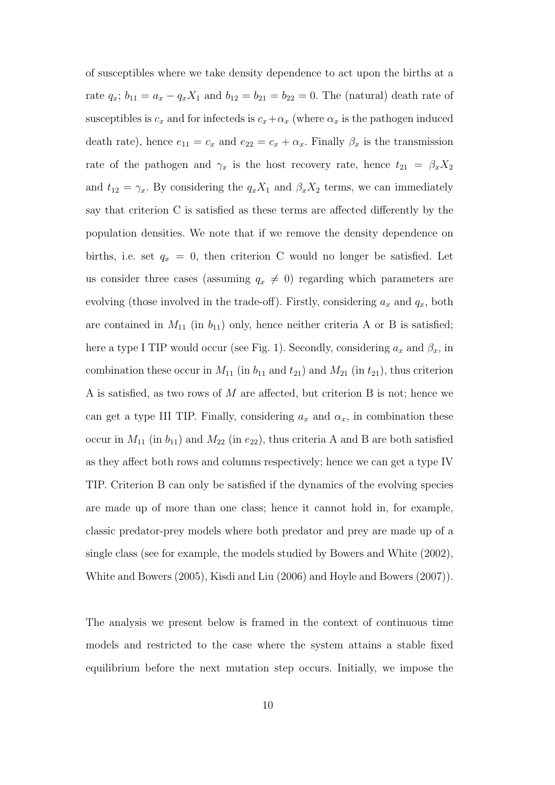of susceptibles where we take density dependence to act upon the births at a rate  $q_x$ ;  $b_{11} = a_x - q_x X_1$  and  $b_{12} = b_{21} = b_{22} = 0$ . The (natural) death rate of susceptibles is  $c_x$  and for infecteds is  $c_x + \alpha_x$  (where  $\alpha_x$  is the pathogen induced death rate), hence  $e_{11} = c_x$  and  $e_{22} = c_x + \alpha_x$ . Finally  $\beta_x$  is the transmission rate of the pathogen and  $\gamma_x$  is the host recovery rate, hence  $t_{21} = \beta_x X_2$ and  $t_{12} = \gamma_x$ . By considering the  $q_x X_1$  and  $\beta_x X_2$  terms, we can immediately say that criterion C is satisfied as these terms are affected differently by the population densities. We note that if we remove the density dependence on births, i.e. set  $q_x = 0$ , then criterion C would no longer be satisfied. Let us consider three cases (assuming  $q_x \neq 0$ ) regarding which parameters are evolving (those involved in the trade-off). Firstly, considering  $a_x$  and  $q_x$ , both are contained in  $M_{11}$  (in  $b_{11}$ ) only, hence neither criteria A or B is satisfied; here a type I TIP would occur (see Fig. 1). Secondly, considering  $a_x$  and  $\beta_x$ , in combination these occur in  $M_{11}$  (in  $b_{11}$  and  $t_{21}$ ) and  $M_{21}$  (in  $t_{21}$ ), thus criterion A is satisfied, as two rows of *M* are affected, but criterion B is not; hence we can get a type III TIP. Finally, considering  $a_x$  and  $\alpha_x$ , in combination these occur in  $M_{11}$  (in  $b_{11}$ ) and  $M_{22}$  (in  $e_{22}$ ), thus criteria A and B are both satisfied as they affect both rows and columns respectively; hence we can get a type IV TIP. Criterion B can only be satisfied if the dynamics of the evolving species are made up of more than one class; hence it cannot hold in, for example, classic predator-prey models where both predator and prey are made up of a single class (see for example, the models studied by Bowers and White (2002), White and Bowers (2005), Kisdi and Liu (2006) and Hoyle and Bowers (2007)).

The analysis we present below is framed in the context of continuous time models and restricted to the case where the system attains a stable fixed equilibrium before the next mutation step occurs. Initially, we impose the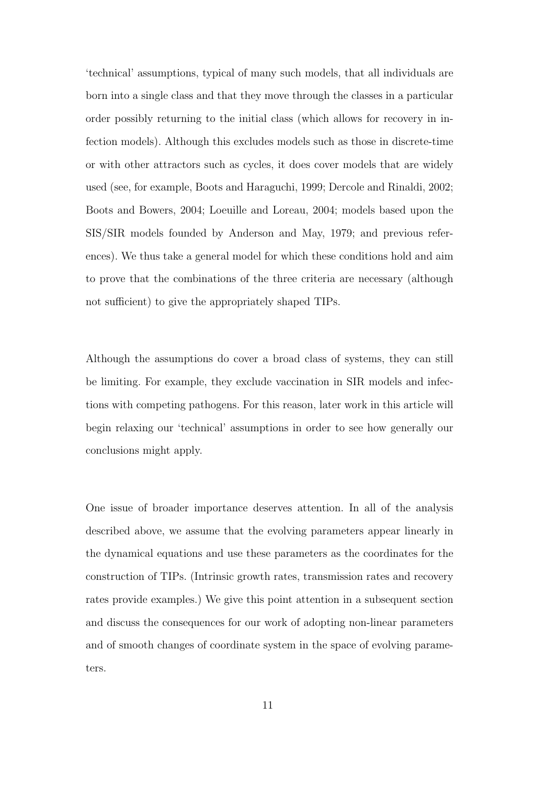'technical' assumptions, typical of many such models, that all individuals are born into a single class and that they move through the classes in a particular order possibly returning to the initial class (which allows for recovery in infection models). Although this excludes models such as those in discrete-time or with other attractors such as cycles, it does cover models that are widely used (see, for example, Boots and Haraguchi, 1999; Dercole and Rinaldi, 2002; Boots and Bowers, 2004; Loeuille and Loreau, 2004; models based upon the SIS/SIR models founded by Anderson and May, 1979; and previous references). We thus take a general model for which these conditions hold and aim to prove that the combinations of the three criteria are necessary (although not sufficient) to give the appropriately shaped TIPs.

Although the assumptions do cover a broad class of systems, they can still be limiting. For example, they exclude vaccination in SIR models and infections with competing pathogens. For this reason, later work in this article will begin relaxing our 'technical' assumptions in order to see how generally our conclusions might apply.

One issue of broader importance deserves attention. In all of the analysis described above, we assume that the evolving parameters appear linearly in the dynamical equations and use these parameters as the coordinates for the construction of TIPs. (Intrinsic growth rates, transmission rates and recovery rates provide examples.) We give this point attention in a subsequent section and discuss the consequences for our work of adopting non-linear parameters and of smooth changes of coordinate system in the space of evolving parameters.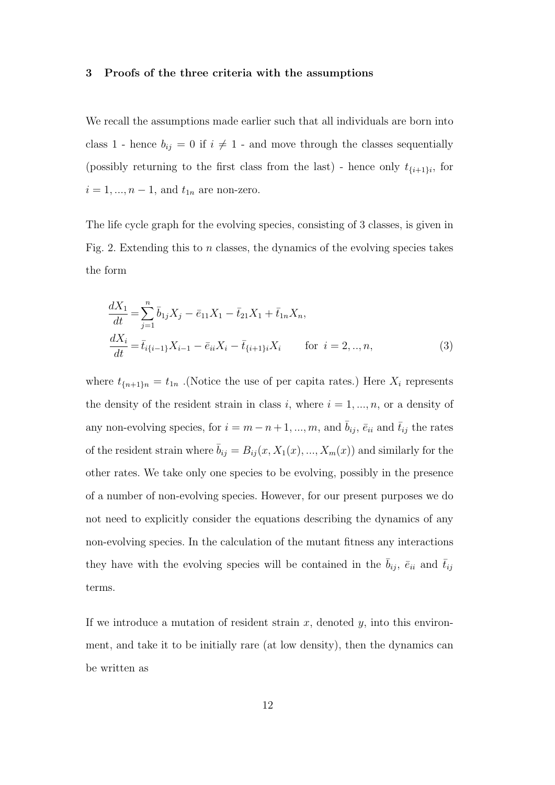#### **3 Proofs of the three criteria with the assumptions**

We recall the assumptions made earlier such that all individuals are born into class 1 - hence  $b_{ij} = 0$  if  $i \neq 1$  - and move through the classes sequentially (possibly returning to the first class from the last) - hence only  $t_{\{i+1\}i}$ , for  $i = 1, ..., n - 1$ , and  $t_{1n}$  are non-zero.

The life cycle graph for the evolving species, consisting of 3 classes, is given in Fig. 2. Extending this to *n* classes, the dynamics of the evolving species takes the form

$$
\frac{dX_1}{dt} = \sum_{j=1}^n \bar{b}_{1j} X_j - \bar{e}_{11} X_1 - \bar{t}_{21} X_1 + \bar{t}_{1n} X_n,
$$
  
\n
$$
\frac{dX_i}{dt} = \bar{t}_{i\{i-1\}} X_{i-1} - \bar{e}_{ii} X_i - \bar{t}_{\{i+1\}} X_i \quad \text{for } i = 2, ..., n,
$$
\n(3)

where  $t_{\{n+1\}n} = t_{1n}$ . (Notice the use of per capita rates.) Here  $X_i$  represents the density of the resident strain in class  $i$ , where  $i = 1, ..., n$ , or a density of any non-evolving species, for  $i = m - n + 1, ..., m$ , and  $\bar{b}_{ij}$ ,  $\bar{e}_{ii}$  and  $\bar{t}_{ij}$  the rates of the resident strain where  $\bar{b}_{ij} = B_{ij}(x, X_1(x), ..., X_m(x))$  and similarly for the other rates. We take only one species to be evolving, possibly in the presence of a number of non-evolving species. However, for our present purposes we do not need to explicitly consider the equations describing the dynamics of any non-evolving species. In the calculation of the mutant fitness any interactions they have with the evolving species will be contained in the  $\overline{b}_{ij}$ ,  $\overline{e}_{ii}$  and  $\overline{t}_{ij}$ terms.

If we introduce a mutation of resident strain *x*, denoted *y*, into this environment, and take it to be initially rare (at low density), then the dynamics can be written as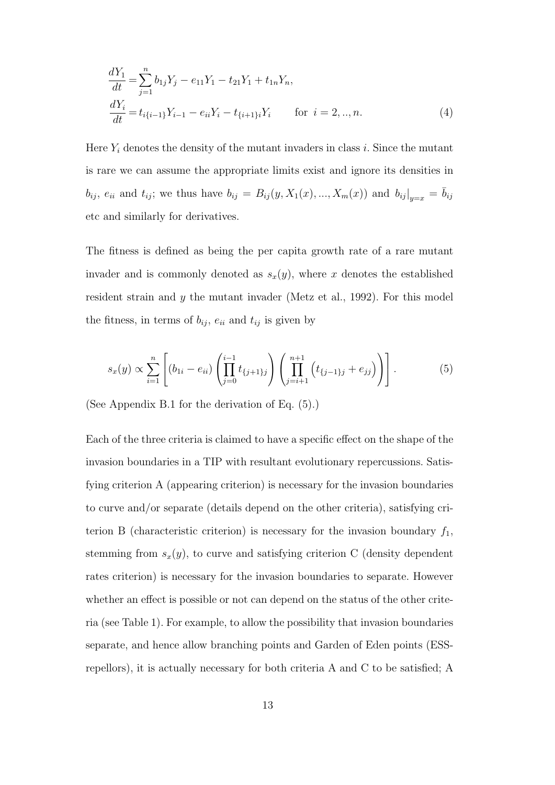$$
\frac{dY_1}{dt} = \sum_{j=1}^n b_{1j} Y_j - e_{11} Y_1 - t_{21} Y_1 + t_{1n} Y_n,
$$
  
\n
$$
\frac{dY_i}{dt} = t_{i\{i-1\}} Y_{i-1} - e_{ii} Y_i - t_{\{i+1\}} Y_i \qquad \text{for } i = 2, ..., n.
$$
\n(4)

Here  $Y_i$  denotes the density of the mutant invaders in class *i*. Since the mutant is rare we can assume the appropriate limits exist and ignore its densities in  $b_{ij}$ ,  $e_{ii}$  and  $t_{ij}$ ; we thus have  $b_{ij} = B_{ij}(y, X_1(x), ..., X_m(x))$  and  $b_{ij}|_{y=x} = \overline{b}_{ij}$ etc and similarly for derivatives.

The fitness is defined as being the per capita growth rate of a rare mutant invader and is commonly denoted as  $s_x(y)$ , where *x* denotes the established resident strain and *y* the mutant invader (Metz et al., 1992). For this model the fitness, in terms of  $b_{ij}$ ,  $e_{ii}$  and  $t_{ij}$  is given by

$$
s_x(y) \propto \sum_{i=1}^n \left[ (b_{1i} - e_{ii}) \left( \prod_{j=0}^{i-1} t_{\{j+1\}j} \right) \left( \prod_{j=i+1}^{n+1} \left( t_{\{j-1\}j} + e_{jj} \right) \right) \right]. \tag{5}
$$

(See Appendix B.1 for the derivation of Eq. (5).)

Each of the three criteria is claimed to have a specific effect on the shape of the invasion boundaries in a TIP with resultant evolutionary repercussions. Satisfying criterion A (appearing criterion) is necessary for the invasion boundaries to curve and/or separate (details depend on the other criteria), satisfying criterion B (characteristic criterion) is necessary for the invasion boundary  $f_1$ , stemming from  $s_x(y)$ , to curve and satisfying criterion C (density dependent rates criterion) is necessary for the invasion boundaries to separate. However whether an effect is possible or not can depend on the status of the other criteria (see Table 1). For example, to allow the possibility that invasion boundaries separate, and hence allow branching points and Garden of Eden points (ESSrepellors), it is actually necessary for both criteria A and C to be satisfied; A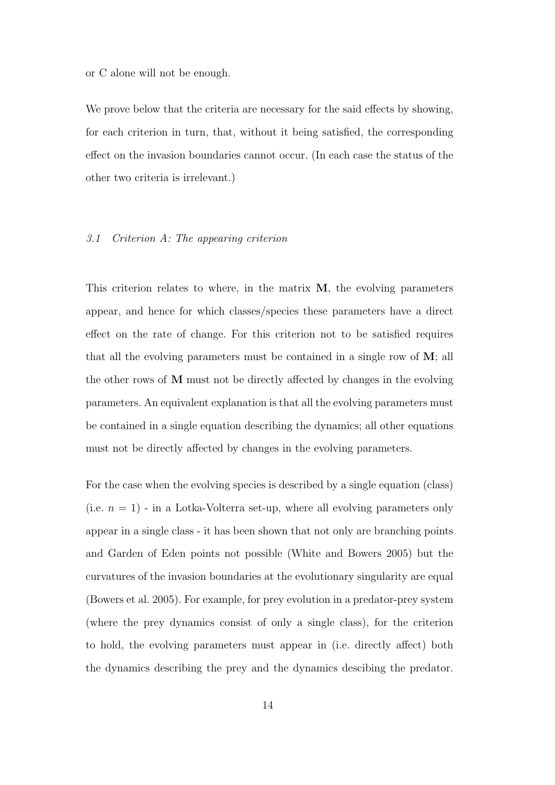or C alone will not be enough.

We prove below that the criteria are necessary for the said effects by showing, for each criterion in turn, that, without it being satisfied, the corresponding effect on the invasion boundaries cannot occur. (In each case the status of the other two criteria is irrelevant.)

### *3.1 Criterion A: The appearing criterion*

This criterion relates to where, in the matrix **M**, the evolving parameters appear, and hence for which classes/species these parameters have a direct effect on the rate of change. For this criterion not to be satisfied requires that all the evolving parameters must be contained in a single row of **M**; all the other rows of **M** must not be directly affected by changes in the evolving parameters. An equivalent explanation is that all the evolving parameters must be contained in a single equation describing the dynamics; all other equations must not be directly affected by changes in the evolving parameters.

For the case when the evolving species is described by a single equation (class) (i.e.  $n = 1$ ) - in a Lotka-Volterra set-up, where all evolving parameters only appear in a single class - it has been shown that not only are branching points and Garden of Eden points not possible (White and Bowers 2005) but the curvatures of the invasion boundaries at the evolutionary singularity are equal (Bowers et al. 2005). For example, for prey evolution in a predator-prey system (where the prey dynamics consist of only a single class), for the criterion to hold, the evolving parameters must appear in (i.e. directly affect) both the dynamics describing the prey and the dynamics descibing the predator.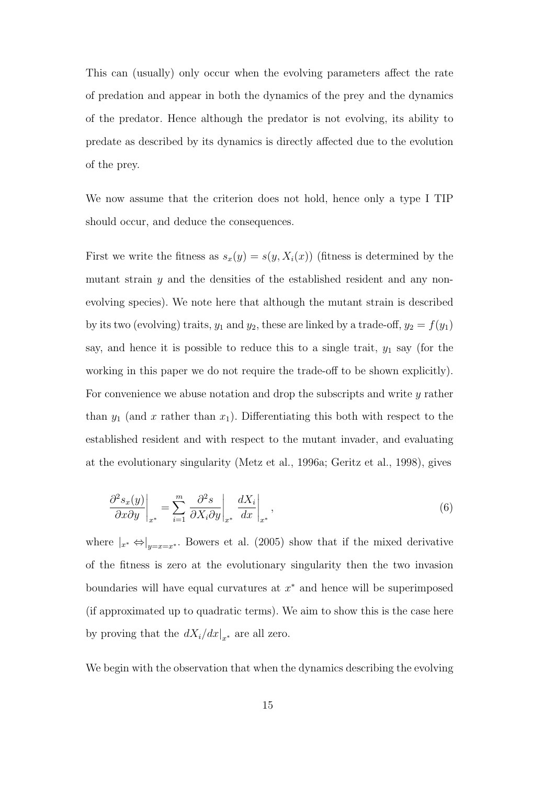This can (usually) only occur when the evolving parameters affect the rate of predation and appear in both the dynamics of the prey and the dynamics of the predator. Hence although the predator is not evolving, its ability to predate as described by its dynamics is directly affected due to the evolution of the prey.

We now assume that the criterion does not hold, hence only a type I TIP should occur, and deduce the consequences.

First we write the fitness as  $s_x(y) = s(y, X_i(x))$  (fitness is determined by the mutant strain *y* and the densities of the established resident and any nonevolving species). We note here that although the mutant strain is described by its two (evolving) traits,  $y_1$  and  $y_2$ , these are linked by a trade-off,  $y_2 = f(y_1)$ say, and hence it is possible to reduce this to a single trait, *y*<sup>1</sup> say (for the working in this paper we do not require the trade-off to be shown explicitly). For convenience we abuse notation and drop the subscripts and write *y* rather than  $y_1$  (and x rather than  $x_1$ ). Differentiating this both with respect to the established resident and with respect to the mutant invader, and evaluating at the evolutionary singularity (Metz et al., 1996a; Geritz et al., 1998), gives

$$
\left. \frac{\partial^2 s_x(y)}{\partial x \partial y} \right|_{x^*} = \sum_{i=1}^m \left. \frac{\partial^2 s}{\partial X_i \partial y} \right|_{x^*} \left. \frac{dX_i}{dx} \right|_{x^*},\tag{6}
$$

where  $|_{x^*} \Leftrightarrow |_{y=x=x^*}$ . Bowers et al. (2005) show that if the mixed derivative of the fitness is zero at the evolutionary singularity then the two invasion boundaries will have equal curvatures at *x <sup>∗</sup>* and hence will be superimposed (if approximated up to quadratic terms). We aim to show this is the case here by proving that the  $dX_i/dx|_{x^*}$  are all zero.

We begin with the observation that when the dynamics describing the evolving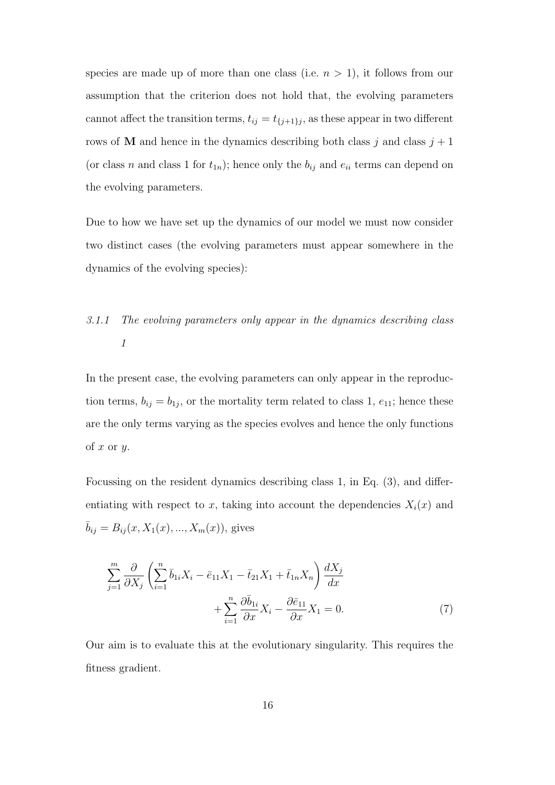species are made up of more than one class (i.e.  $n > 1$ ), it follows from our assumption that the criterion does not hold that, the evolving parameters cannot affect the transition terms,  $t_{ij} = t_{\{j+1\}j}$ , as these appear in two different rows of **M** and hence in the dynamics describing both class  $j$  and class  $j + 1$ (or class *n* and class 1 for  $t_{1n}$ ); hence only the  $b_{ij}$  and  $e_{ii}$  terms can depend on the evolving parameters.

Due to how we have set up the dynamics of our model we must now consider two distinct cases (the evolving parameters must appear somewhere in the dynamics of the evolving species):

# *3.1.1 The evolving parameters only appear in the dynamics describing class 1*

In the present case, the evolving parameters can only appear in the reproduction terms,  $b_{ij} = b_{1j}$ , or the mortality term related to class 1,  $e_{11}$ ; hence these are the only terms varying as the species evolves and hence the only functions of *x* or *y*.

Focussing on the resident dynamics describing class 1, in Eq. (3), and differentiating with respect to *x*, taking into account the dependencies  $X_i(x)$  and  $\bar{b}_{ij} = B_{ij}(x, X_1(x), ..., X_m(x))$ , gives

$$
\sum_{j=1}^{m} \frac{\partial}{\partial X_j} \left( \sum_{i=1}^{n} \bar{b}_{1i} X_i - \bar{e}_{11} X_1 - \bar{t}_{21} X_1 + \bar{t}_{1n} X_n \right) \frac{dX_j}{dx} + \sum_{i=1}^{n} \frac{\partial \bar{b}_{1i}}{\partial x} X_i - \frac{\partial \bar{e}_{11}}{\partial x} X_1 = 0.
$$
 (7)

Our aim is to evaluate this at the evolutionary singularity. This requires the fitness gradient.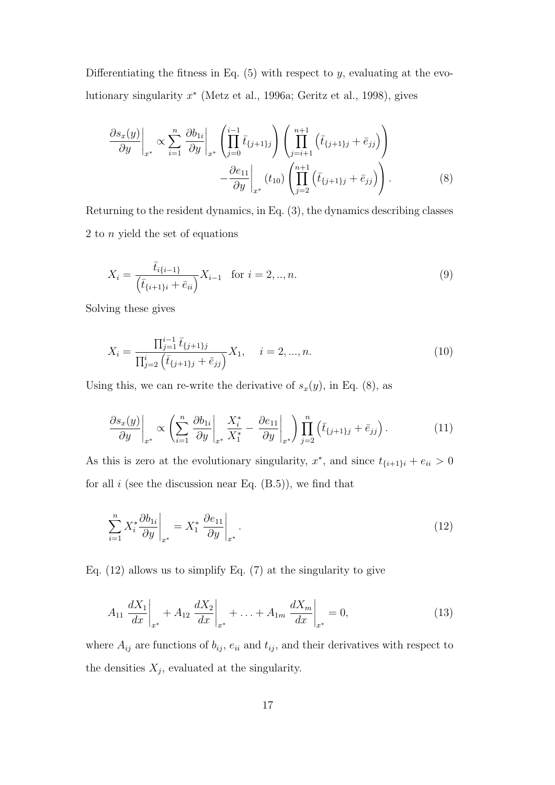Differentiating the fitness in Eq. (5) with respect to *y*, evaluating at the evolutionary singularity *x ∗* (Metz et al., 1996a; Geritz et al., 1998), gives

$$
\frac{\partial s_x(y)}{\partial y}\Big|_{x^*} \propto \sum_{i=1}^n \left. \frac{\partial b_{1i}}{\partial y} \right|_{x^*} \left( \prod_{j=0}^{i-1} \bar{t}_{\{j+1\}j} \right) \left( \prod_{j=i+1}^{n+1} \left( \bar{t}_{\{j+1\}j} + \bar{e}_{jj} \right) \right) \n- \frac{\partial e_{11}}{\partial y} \Big|_{x^*} (t_{10}) \left( \prod_{j=2}^{n+1} \left( \bar{t}_{\{j+1\}j} + \bar{e}_{jj} \right) \right).
$$
\n(8)

Returning to the resident dynamics, in Eq. (3), the dynamics describing classes 2 to *n* yield the set of equations

$$
X_i = \frac{\bar{t}_{i\{i-1\}}}{(\bar{t}_{\{i+1\}i} + \bar{e}_{ii})} X_{i-1} \quad \text{for } i = 2, ..., n. \tag{9}
$$

Solving these gives

$$
X_i = \frac{\prod_{j=1}^{i-1} \bar{t}_{\{j+1\}j}}{\prod_{j=2}^{i} \left(\bar{t}_{\{j+1\}j} + \bar{e}_{jj}\right)} X_1, \quad i = 2, ..., n.
$$
\n(10)

Using this, we can re-write the derivative of  $s_x(y)$ , in Eq. (8), as

$$
\frac{\partial s_x(y)}{\partial y}\Big|_{x^*} \propto \left(\sum_{i=1}^n \frac{\partial b_{1i}}{\partial y}\Big|_{x^*} \frac{X_i^*}{X_1^*} - \frac{\partial e_{11}}{\partial y}\Big|_{x^*}\right) \prod_{j=2}^n \left(\bar{t}_{\{j+1\}j} + \bar{e}_{jj}\right). \tag{11}
$$

As this is zero at the evolutionary singularity,  $x^*$ , and since  $t_{\{i+1\}i} + e_{ii} > 0$ for all  $i$  (see the discussion near Eq.  $(B.5)$ ), we find that

$$
\sum_{i=1}^{n} X_i^* \frac{\partial b_{1i}}{\partial y} \bigg|_{x^*} = X_1^* \left. \frac{\partial e_{11}}{\partial y} \right|_{x^*} . \tag{12}
$$

Eq. (12) allows us to simplify Eq. (7) at the singularity to give

$$
A_{11} \frac{dX_1}{dx}\bigg|_{x^*} + A_{12} \frac{dX_2}{dx}\bigg|_{x^*} + \ldots + A_{1m} \frac{dX_m}{dx}\bigg|_{x^*} = 0,
$$
 (13)

where  $A_{ij}$  are functions of  $b_{ij}$ ,  $e_{ii}$  and  $t_{ij}$ , and their derivatives with respect to the densities  $X_j$ , evaluated at the singularity.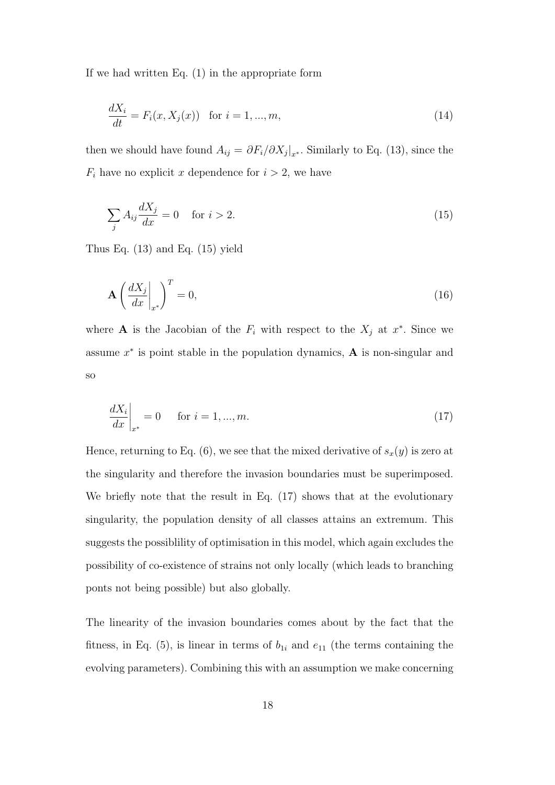If we had written Eq. (1) in the appropriate form

$$
\frac{dX_i}{dt} = F_i(x, X_j(x)) \text{ for } i = 1, ..., m,
$$
\n(14)

then we should have found  $A_{ij} = \partial F_i / \partial X_j |_{x^*}$ . Similarly to Eq. (13), since the  $F_i$  have no explicit *x* dependence for  $i > 2$ , we have

$$
\sum_{j} A_{ij} \frac{dX_j}{dx} = 0 \quad \text{for } i > 2.
$$
\n(15)

Thus Eq. (13) and Eq. (15) yield

$$
\mathbf{A} \left( \frac{dX_j}{dx} \bigg|_{x^*} \right)^T = 0,\tag{16}
$$

where **A** is the Jacobian of the  $F_i$  with respect to the  $X_j$  at  $x^*$ . Since we assume *x ∗* is point stable in the population dynamics, **A** is non-singular and so

$$
\left. \frac{dX_i}{dx} \right|_{x^*} = 0 \quad \text{for } i = 1, ..., m. \tag{17}
$$

Hence, returning to Eq. (6), we see that the mixed derivative of  $s_x(y)$  is zero at the singularity and therefore the invasion boundaries must be superimposed. We briefly note that the result in Eq. (17) shows that at the evolutionary singularity, the population density of all classes attains an extremum. This suggests the possiblility of optimisation in this model, which again excludes the possibility of co-existence of strains not only locally (which leads to branching ponts not being possible) but also globally.

The linearity of the invasion boundaries comes about by the fact that the fitness, in Eq.  $(5)$ , is linear in terms of  $b_{1i}$  and  $e_{11}$  (the terms containing the evolving parameters). Combining this with an assumption we make concerning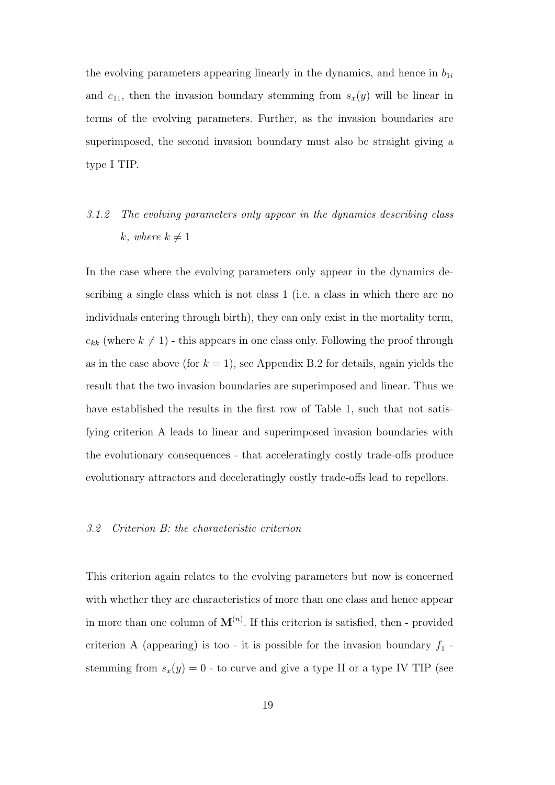the evolving parameters appearing linearly in the dynamics, and hence in  $b_{1i}$ and  $e_{11}$ , then the invasion boundary stemming from  $s_x(y)$  will be linear in terms of the evolving parameters. Further, as the invasion boundaries are superimposed, the second invasion boundary must also be straight giving a type I TIP.

# *3.1.2 The evolving parameters only appear in the dynamics describing class*  $k, where k \neq 1$

In the case where the evolving parameters only appear in the dynamics describing a single class which is not class 1 (i.e. a class in which there are no individuals entering through birth), they can only exist in the mortality term,  $e_{kk}$  (where  $k \neq 1$ ) - this appears in one class only. Following the proof through as in the case above (for  $k = 1$ ), see Appendix B.2 for details, again yields the result that the two invasion boundaries are superimposed and linear. Thus we have established the results in the first row of Table 1, such that not satisfying criterion A leads to linear and superimposed invasion boundaries with the evolutionary consequences - that acceleratingly costly trade-offs produce evolutionary attractors and deceleratingly costly trade-offs lead to repellors.

#### *3.2 Criterion B: the characteristic criterion*

This criterion again relates to the evolving parameters but now is concerned with whether they are characteristics of more than one class and hence appear in more than one column of  $\mathbf{M}^{(n)}$ . If this criterion is satisfied, then - provided criterion A (appearing) is too - it is possible for the invasion boundary  $f_1$  stemming from  $s_x(y) = 0$  - to curve and give a type II or a type IV TIP (see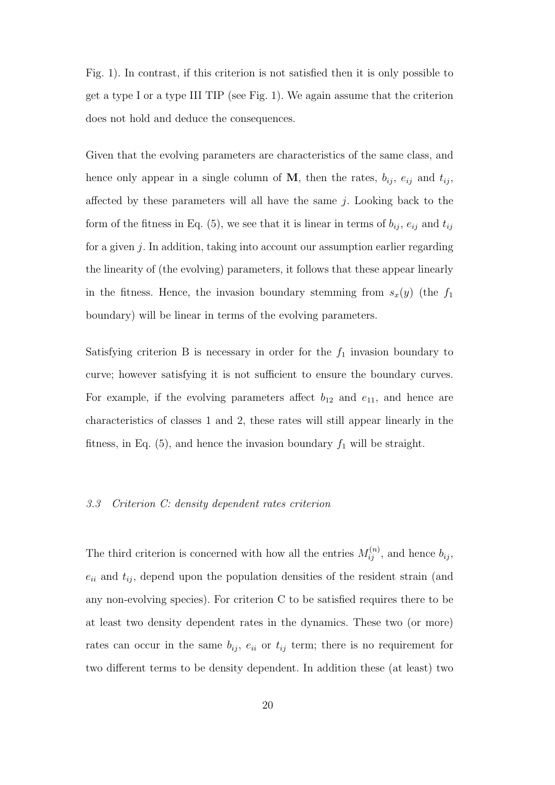Fig. 1). In contrast, if this criterion is not satisfied then it is only possible to get a type I or a type III TIP (see Fig. 1). We again assume that the criterion does not hold and deduce the consequences.

Given that the evolving parameters are characteristics of the same class, and hence only appear in a single column of  $M$ , then the rates,  $b_{ij}$ ,  $e_{ij}$  and  $t_{ij}$ , affected by these parameters will all have the same *j*. Looking back to the form of the fitness in Eq. (5), we see that it is linear in terms of  $b_{ij}$ ,  $e_{ij}$  and  $t_{ij}$ for a given *j*. In addition, taking into account our assumption earlier regarding the linearity of (the evolving) parameters, it follows that these appear linearly in the fitness. Hence, the invasion boundary stemming from  $s_x(y)$  (the  $f_1$ boundary) will be linear in terms of the evolving parameters.

Satisfying criterion B is necessary in order for the  $f_1$  invasion boundary to curve; however satisfying it is not sufficient to ensure the boundary curves. For example, if the evolving parameters affect  $b_{12}$  and  $e_{11}$ , and hence are characteristics of classes 1 and 2, these rates will still appear linearly in the fitness, in Eq.  $(5)$ , and hence the invasion boundary  $f_1$  will be straight.

#### *3.3 Criterion C: density dependent rates criterion*

The third criterion is concerned with how all the entries  $M_{ij}^{(n)}$ , and hence  $b_{ij}$ ,  $e_{ii}$  and  $t_{ij}$ , depend upon the population densities of the resident strain (and any non-evolving species). For criterion C to be satisfied requires there to be at least two density dependent rates in the dynamics. These two (or more) rates can occur in the same  $b_{ij}$ ,  $e_{ii}$  or  $t_{ij}$  term; there is no requirement for two different terms to be density dependent. In addition these (at least) two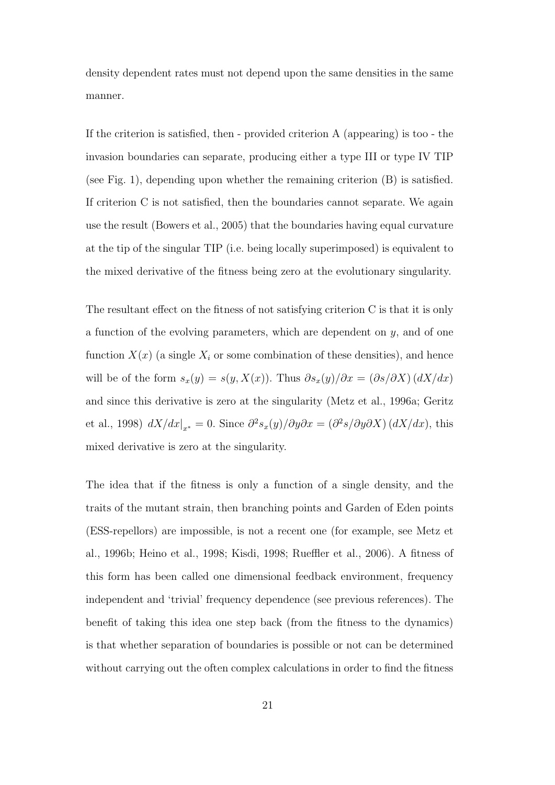density dependent rates must not depend upon the same densities in the same manner.

If the criterion is satisfied, then - provided criterion A (appearing) is too - the invasion boundaries can separate, producing either a type III or type IV TIP (see Fig. 1), depending upon whether the remaining criterion (B) is satisfied. If criterion C is not satisfied, then the boundaries cannot separate. We again use the result (Bowers et al., 2005) that the boundaries having equal curvature at the tip of the singular TIP (i.e. being locally superimposed) is equivalent to the mixed derivative of the fitness being zero at the evolutionary singularity.

The resultant effect on the fitness of not satisfying criterion C is that it is only a function of the evolving parameters, which are dependent on *y*, and of one function  $X(x)$  (a single  $X_i$  or some combination of these densities), and hence will be of the form  $s_x(y) = s(y, X(x))$ . Thus  $\partial s_x(y)/\partial x = (\partial s/\partial X) (dX/dx)$ and since this derivative is zero at the singularity (Metz et al., 1996a; Geritz et al., 1998)  $dX/dx|_{x^*} = 0$ . Since  $\partial^2 s_x(y)/\partial y \partial x = (\partial^2 s/\partial y \partial X) (dX/dx)$ , this mixed derivative is zero at the singularity.

The idea that if the fitness is only a function of a single density, and the traits of the mutant strain, then branching points and Garden of Eden points (ESS-repellors) are impossible, is not a recent one (for example, see Metz et al., 1996b; Heino et al., 1998; Kisdi, 1998; Rueffler et al., 2006). A fitness of this form has been called one dimensional feedback environment, frequency independent and 'trivial' frequency dependence (see previous references). The benefit of taking this idea one step back (from the fitness to the dynamics) is that whether separation of boundaries is possible or not can be determined without carrying out the often complex calculations in order to find the fitness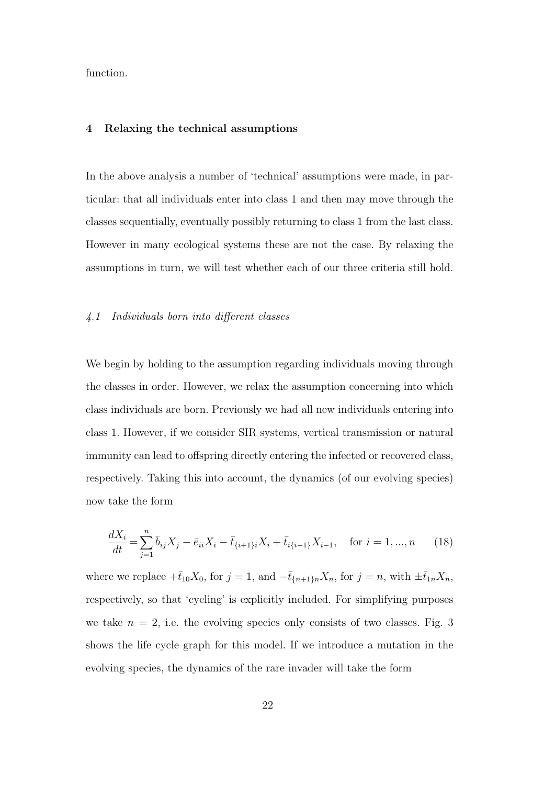function.

## **4 Relaxing the technical assumptions**

In the above analysis a number of 'technical' assumptions were made, in particular: that all individuals enter into class 1 and then may move through the classes sequentially, eventually possibly returning to class 1 from the last class. However in many ecological systems these are not the case. By relaxing the assumptions in turn, we will test whether each of our three criteria still hold.

#### *4.1 Individuals born into different classes*

We begin by holding to the assumption regarding individuals moving through the classes in order. However, we relax the assumption concerning into which class individuals are born. Previously we had all new individuals entering into class 1. However, if we consider SIR systems, vertical transmission or natural immunity can lead to offspring directly entering the infected or recovered class, respectively. Taking this into account, the dynamics (of our evolving species) now take the form

$$
\frac{dX_i}{dt} = \sum_{j=1}^n \bar{b}_{ij} X_j - \bar{e}_{ii} X_i - \bar{t}_{\{i+1\}i} X_i + \bar{t}_{i\{i-1\}} X_{i-1}, \quad \text{for } i = 1, ..., n \tag{18}
$$

where we replace  $+\bar{t}_{10}X_0$ , for  $j = 1$ , and  $-\bar{t}_{\{n+1\}n}X_n$ , for  $j = n$ , with  $\pm \bar{t}_{1n}X_n$ , respectively, so that 'cycling' is explicitly included. For simplifying purposes we take  $n = 2$ , i.e. the evolving species only consists of two classes. Fig. 3 shows the life cycle graph for this model. If we introduce a mutation in the evolving species, the dynamics of the rare invader will take the form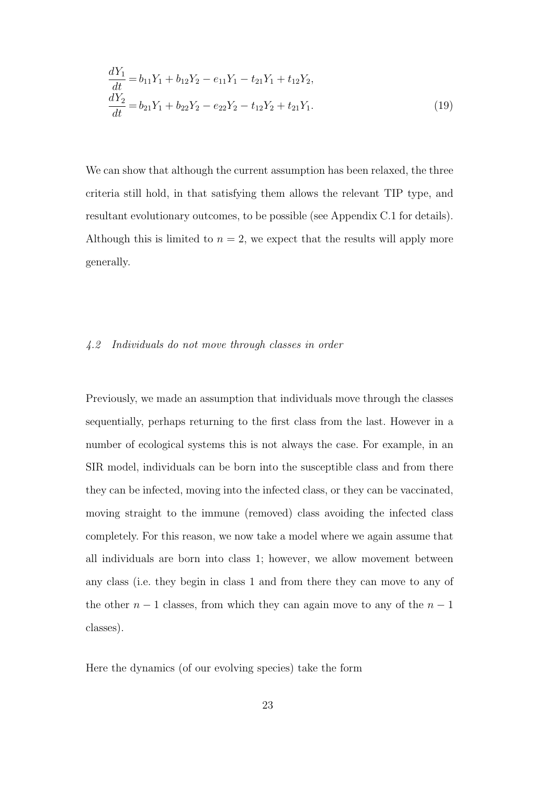$$
\frac{dY_1}{dt} = b_{11}Y_1 + b_{12}Y_2 - e_{11}Y_1 - t_{21}Y_1 + t_{12}Y_2,
$$
  
\n
$$
\frac{dY_2}{dt} = b_{21}Y_1 + b_{22}Y_2 - e_{22}Y_2 - t_{12}Y_2 + t_{21}Y_1.
$$
\n(19)

We can show that although the current assumption has been relaxed, the three criteria still hold, in that satisfying them allows the relevant TIP type, and resultant evolutionary outcomes, to be possible (see Appendix C.1 for details). Although this is limited to  $n = 2$ , we expect that the results will apply more generally.

#### *4.2 Individuals do not move through classes in order*

Previously, we made an assumption that individuals move through the classes sequentially, perhaps returning to the first class from the last. However in a number of ecological systems this is not always the case. For example, in an SIR model, individuals can be born into the susceptible class and from there they can be infected, moving into the infected class, or they can be vaccinated, moving straight to the immune (removed) class avoiding the infected class completely. For this reason, we now take a model where we again assume that all individuals are born into class 1; however, we allow movement between any class (i.e. they begin in class 1 and from there they can move to any of the other  $n-1$  classes, from which they can again move to any of the  $n-1$ classes).

Here the dynamics (of our evolving species) take the form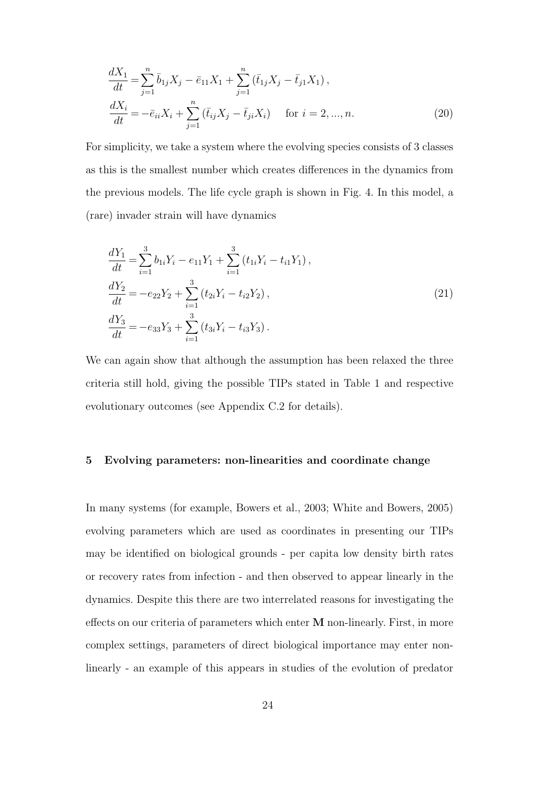$$
\frac{dX_1}{dt} = \sum_{j=1}^n \bar{b}_{1j} X_j - \bar{e}_{11} X_1 + \sum_{j=1}^n (\bar{t}_{1j} X_j - \bar{t}_{j1} X_1),
$$
  
\n
$$
\frac{dX_i}{dt} = -\bar{e}_{ii} X_i + \sum_{j=1}^n (\bar{t}_{ij} X_j - \bar{t}_{ji} X_i) \quad \text{for } i = 2, ..., n.
$$
\n(20)

For simplicity, we take a system where the evolving species consists of 3 classes as this is the smallest number which creates differences in the dynamics from the previous models. The life cycle graph is shown in Fig. 4. In this model, a (rare) invader strain will have dynamics

$$
\frac{dY_1}{dt} = \sum_{i=1}^{3} b_{1i} Y_i - e_{11} Y_1 + \sum_{i=1}^{3} (t_{1i} Y_i - t_{i1} Y_1),
$$
  
\n
$$
\frac{dY_2}{dt} = -e_{22} Y_2 + \sum_{i=1}^{3} (t_{2i} Y_i - t_{i2} Y_2),
$$
  
\n
$$
\frac{dY_3}{dt} = -e_{33} Y_3 + \sum_{i=1}^{3} (t_{3i} Y_i - t_{i3} Y_3).
$$
\n(21)

We can again show that although the assumption has been relaxed the three criteria still hold, giving the possible TIPs stated in Table 1 and respective evolutionary outcomes (see Appendix C.2 for details).

#### **5 Evolving parameters: non-linearities and coordinate change**

In many systems (for example, Bowers et al., 2003; White and Bowers, 2005) evolving parameters which are used as coordinates in presenting our TIPs may be identified on biological grounds - per capita low density birth rates or recovery rates from infection - and then observed to appear linearly in the dynamics. Despite this there are two interrelated reasons for investigating the effects on our criteria of parameters which enter **M** non-linearly. First, in more complex settings, parameters of direct biological importance may enter nonlinearly - an example of this appears in studies of the evolution of predator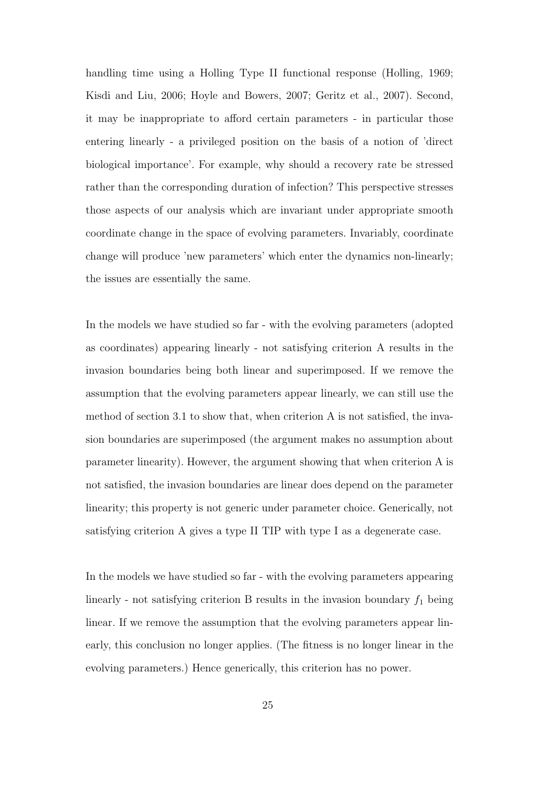handling time using a Holling Type II functional response (Holling, 1969; Kisdi and Liu, 2006; Hoyle and Bowers, 2007; Geritz et al., 2007). Second, it may be inappropriate to afford certain parameters - in particular those entering linearly - a privileged position on the basis of a notion of 'direct biological importance'. For example, why should a recovery rate be stressed rather than the corresponding duration of infection? This perspective stresses those aspects of our analysis which are invariant under appropriate smooth coordinate change in the space of evolving parameters. Invariably, coordinate change will produce 'new parameters' which enter the dynamics non-linearly; the issues are essentially the same.

In the models we have studied so far - with the evolving parameters (adopted as coordinates) appearing linearly - not satisfying criterion A results in the invasion boundaries being both linear and superimposed. If we remove the assumption that the evolving parameters appear linearly, we can still use the method of section 3.1 to show that, when criterion A is not satisfied, the invasion boundaries are superimposed (the argument makes no assumption about parameter linearity). However, the argument showing that when criterion A is not satisfied, the invasion boundaries are linear does depend on the parameter linearity; this property is not generic under parameter choice. Generically, not satisfying criterion A gives a type II TIP with type I as a degenerate case.

In the models we have studied so far - with the evolving parameters appearing linearly - not satisfying criterion B results in the invasion boundary  $f_1$  being linear. If we remove the assumption that the evolving parameters appear linearly, this conclusion no longer applies. (The fitness is no longer linear in the evolving parameters.) Hence generically, this criterion has no power.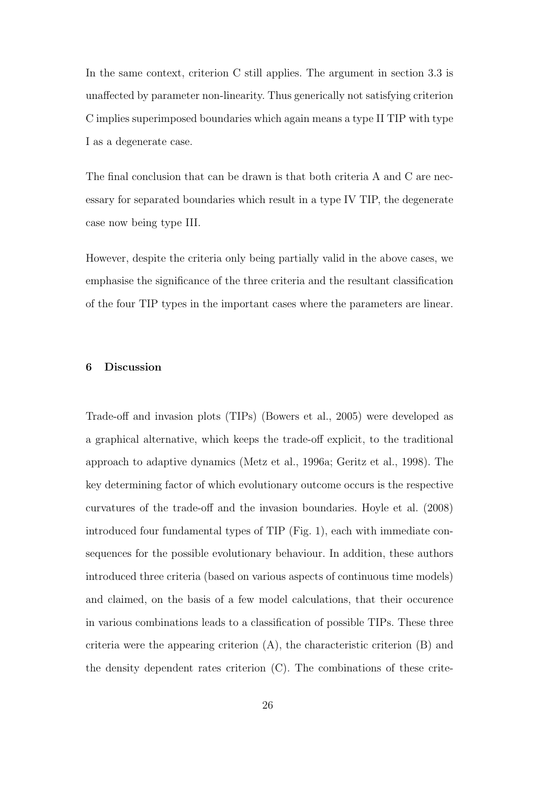In the same context, criterion C still applies. The argument in section 3.3 is unaffected by parameter non-linearity. Thus generically not satisfying criterion C implies superimposed boundaries which again means a type II TIP with type I as a degenerate case.

The final conclusion that can be drawn is that both criteria A and C are necessary for separated boundaries which result in a type IV TIP, the degenerate case now being type III.

However, despite the criteria only being partially valid in the above cases, we emphasise the significance of the three criteria and the resultant classification of the four TIP types in the important cases where the parameters are linear.

## **6 Discussion**

Trade-off and invasion plots (TIPs) (Bowers et al., 2005) were developed as a graphical alternative, which keeps the trade-off explicit, to the traditional approach to adaptive dynamics (Metz et al., 1996a; Geritz et al., 1998). The key determining factor of which evolutionary outcome occurs is the respective curvatures of the trade-off and the invasion boundaries. Hoyle et al. (2008) introduced four fundamental types of TIP (Fig. 1), each with immediate consequences for the possible evolutionary behaviour. In addition, these authors introduced three criteria (based on various aspects of continuous time models) and claimed, on the basis of a few model calculations, that their occurence in various combinations leads to a classification of possible TIPs. These three criteria were the appearing criterion  $(A)$ , the characteristic criterion  $(B)$  and the density dependent rates criterion (C). The combinations of these crite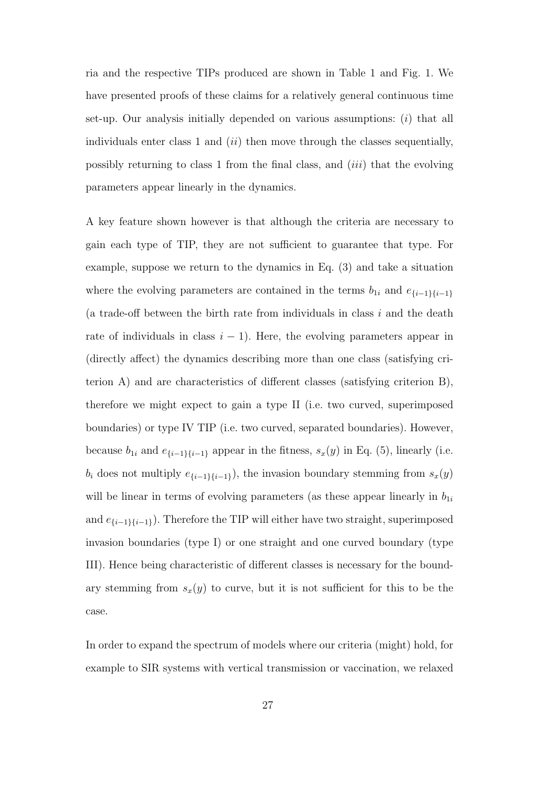ria and the respective TIPs produced are shown in Table 1 and Fig. 1. We have presented proofs of these claims for a relatively general continuous time set-up. Our analysis initially depended on various assumptions: (*i*) that all individuals enter class 1 and (*ii*) then move through the classes sequentially, possibly returning to class 1 from the final class, and (*iii*) that the evolving parameters appear linearly in the dynamics.

A key feature shown however is that although the criteria are necessary to gain each type of TIP, they are not sufficient to guarantee that type. For example, suppose we return to the dynamics in Eq. (3) and take a situation where the evolving parameters are contained in the terms  $b_{1i}$  and  $e_{\{i-1\}\{i-1\}}$ (a trade-off between the birth rate from individuals in class *i* and the death rate of individuals in class  $i - 1$ ). Here, the evolving parameters appear in (directly affect) the dynamics describing more than one class (satisfying criterion A) and are characteristics of different classes (satisfying criterion B), therefore we might expect to gain a type II (i.e. two curved, superimposed boundaries) or type IV TIP (i.e. two curved, separated boundaries). However, because  $b_{1i}$  and  $e_{\{i-1\}\{i-1\}}$  appear in the fitness,  $s_x(y)$  in Eq. (5), linearly (i.e. *b*<sup>*i*</sup> does not multiply  $e_{\{i-1\}\{i-1\}}$ , the invasion boundary stemming from  $s_x(y)$ will be linear in terms of evolving parameters (as these appear linearly in  $b_{1i}$ and  $e_{\{i-1\}\{i-1\}}$ ). Therefore the TIP will either have two straight, superimposed invasion boundaries (type I) or one straight and one curved boundary (type III). Hence being characteristic of different classes is necessary for the boundary stemming from  $s_x(y)$  to curve, but it is not sufficient for this to be the case.

In order to expand the spectrum of models where our criteria (might) hold, for example to SIR systems with vertical transmission or vaccination, we relaxed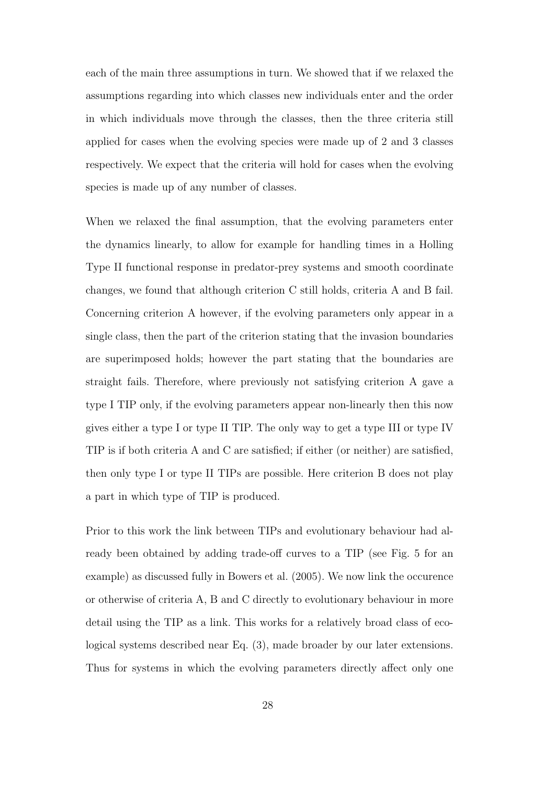each of the main three assumptions in turn. We showed that if we relaxed the assumptions regarding into which classes new individuals enter and the order in which individuals move through the classes, then the three criteria still applied for cases when the evolving species were made up of 2 and 3 classes respectively. We expect that the criteria will hold for cases when the evolving species is made up of any number of classes.

When we relaxed the final assumption, that the evolving parameters enter the dynamics linearly, to allow for example for handling times in a Holling Type II functional response in predator-prey systems and smooth coordinate changes, we found that although criterion C still holds, criteria A and B fail. Concerning criterion A however, if the evolving parameters only appear in a single class, then the part of the criterion stating that the invasion boundaries are superimposed holds; however the part stating that the boundaries are straight fails. Therefore, where previously not satisfying criterion A gave a type I TIP only, if the evolving parameters appear non-linearly then this now gives either a type I or type II TIP. The only way to get a type III or type IV TIP is if both criteria A and C are satisfied; if either (or neither) are satisfied, then only type I or type II TIPs are possible. Here criterion B does not play a part in which type of TIP is produced.

Prior to this work the link between TIPs and evolutionary behaviour had already been obtained by adding trade-off curves to a TIP (see Fig. 5 for an example) as discussed fully in Bowers et al. (2005). We now link the occurence or otherwise of criteria A, B and C directly to evolutionary behaviour in more detail using the TIP as a link. This works for a relatively broad class of ecological systems described near Eq. (3), made broader by our later extensions. Thus for systems in which the evolving parameters directly affect only one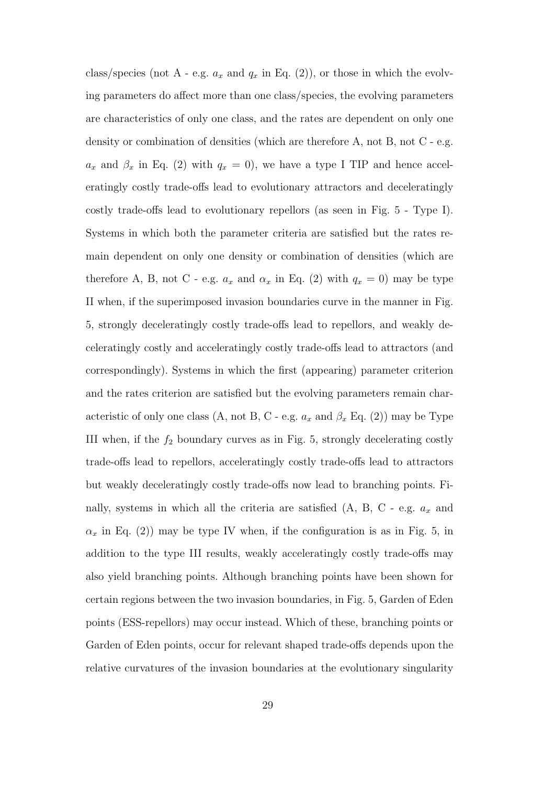class/species (not A - e.g.  $a_x$  and  $q_x$  in Eq. (2)), or those in which the evolving parameters do affect more than one class/species, the evolving parameters are characteristics of only one class, and the rates are dependent on only one density or combination of densities (which are therefore A, not B, not C - e.g.  $a_x$  and  $\beta_x$  in Eq. (2) with  $q_x = 0$ , we have a type I TIP and hence acceleratingly costly trade-offs lead to evolutionary attractors and deceleratingly costly trade-offs lead to evolutionary repellors (as seen in Fig. 5 - Type I). Systems in which both the parameter criteria are satisfied but the rates remain dependent on only one density or combination of densities (which are therefore A, B, not C - e.g.  $a_x$  and  $\alpha_x$  in Eq. (2) with  $q_x = 0$ ) may be type II when, if the superimposed invasion boundaries curve in the manner in Fig. 5, strongly deceleratingly costly trade-offs lead to repellors, and weakly deceleratingly costly and acceleratingly costly trade-offs lead to attractors (and correspondingly). Systems in which the first (appearing) parameter criterion and the rates criterion are satisfied but the evolving parameters remain characteristic of only one class (A, not B, C - e.g.  $a_x$  and  $\beta_x$  Eq. (2)) may be Type III when, if the  $f_2$  boundary curves as in Fig. 5, strongly decelerating costly trade-offs lead to repellors, acceleratingly costly trade-offs lead to attractors but weakly deceleratingly costly trade-offs now lead to branching points. Finally, systems in which all the criteria are satisfied (A, B, C - e.g. *a<sup>x</sup>* and  $\alpha_x$  in Eq. (2)) may be type IV when, if the configuration is as in Fig. 5, in addition to the type III results, weakly acceleratingly costly trade-offs may also yield branching points. Although branching points have been shown for certain regions between the two invasion boundaries, in Fig. 5, Garden of Eden points (ESS-repellors) may occur instead. Which of these, branching points or Garden of Eden points, occur for relevant shaped trade-offs depends upon the relative curvatures of the invasion boundaries at the evolutionary singularity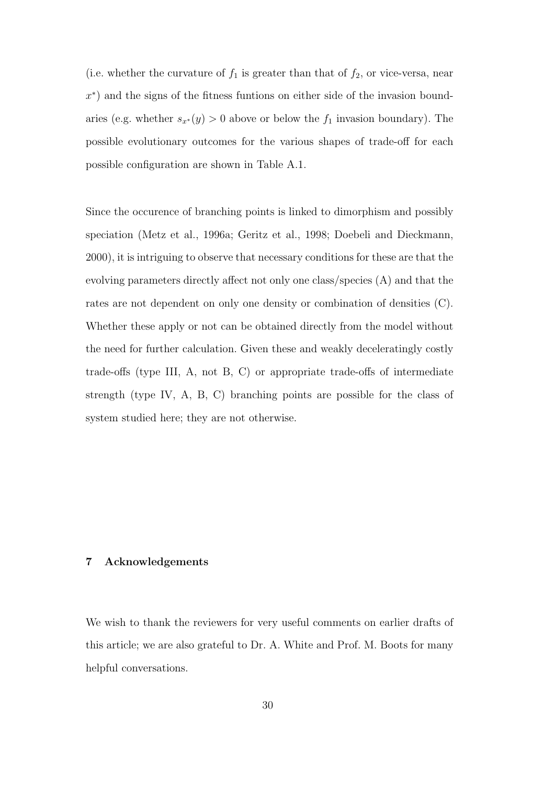(i.e. whether the curvature of  $f_1$  is greater than that of  $f_2$ , or vice-versa, near *x ∗* ) and the signs of the fitness funtions on either side of the invasion boundaries (e.g. whether  $s_{x^*}(y) > 0$  above or below the  $f_1$  invasion boundary). The possible evolutionary outcomes for the various shapes of trade-off for each possible configuration are shown in Table A.1.

Since the occurence of branching points is linked to dimorphism and possibly speciation (Metz et al., 1996a; Geritz et al., 1998; Doebeli and Dieckmann, 2000), it is intriguing to observe that necessary conditions for these are that the evolving parameters directly affect not only one class/species (A) and that the rates are not dependent on only one density or combination of densities (C). Whether these apply or not can be obtained directly from the model without the need for further calculation. Given these and weakly deceleratingly costly trade-offs (type III, A, not B, C) or appropriate trade-offs of intermediate strength (type IV, A, B, C) branching points are possible for the class of system studied here; they are not otherwise.

#### **7 Acknowledgements**

We wish to thank the reviewers for very useful comments on earlier drafts of this article; we are also grateful to Dr. A. White and Prof. M. Boots for many helpful conversations.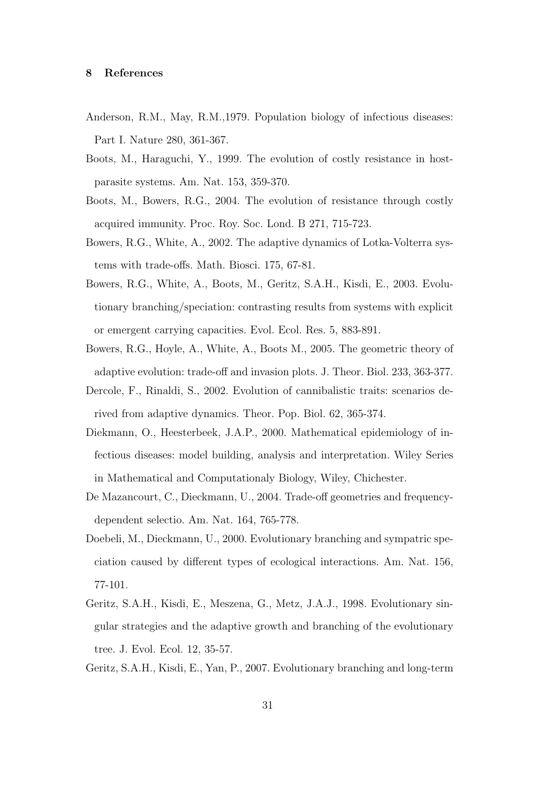## **8 References**

- Anderson, R.M., May, R.M.,1979. Population biology of infectious diseases: Part I. Nature 280, 361-367.
- Boots, M., Haraguchi, Y., 1999. The evolution of costly resistance in hostparasite systems. Am. Nat. 153, 359-370.
- Boots, M., Bowers, R.G., 2004. The evolution of resistance through costly acquired immunity. Proc. Roy. Soc. Lond. B 271, 715-723.
- Bowers, R.G., White, A., 2002. The adaptive dynamics of Lotka-Volterra systems with trade-offs. Math. Biosci. 175, 67-81.
- Bowers, R.G., White, A., Boots, M., Geritz, S.A.H., Kisdi, E., 2003. Evolutionary branching/speciation: contrasting results from systems with explicit or emergent carrying capacities. Evol. Ecol. Res. 5, 883-891.
- Bowers, R.G., Hoyle, A., White, A., Boots M., 2005. The geometric theory of adaptive evolution: trade-off and invasion plots. J. Theor. Biol. 233, 363-377.
- Dercole, F., Rinaldi, S., 2002. Evolution of cannibalistic traits: scenarios derived from adaptive dynamics. Theor. Pop. Biol. 62, 365-374.
- Diekmann, O., Heesterbeek, J.A.P., 2000. Mathematical epidemiology of infectious diseases: model building, analysis and interpretation. Wiley Series in Mathematical and Computationaly Biology, Wiley, Chichester.
- De Mazancourt, C., Dieckmann, U., 2004. Trade-off geometries and frequencydependent selectio. Am. Nat. 164, 765-778.
- Doebeli, M., Dieckmann, U., 2000. Evolutionary branching and sympatric speciation caused by different types of ecological interactions. Am. Nat. 156, 77-101.
- Geritz, S.A.H., Kisdi, E., Meszena, G., Metz, J.A.J., 1998. Evolutionary singular strategies and the adaptive growth and branching of the evolutionary tree. J. Evol. Ecol. 12, 35-57.

Geritz, S.A.H., Kisdi, E., Yan, P., 2007. Evolutionary branching and long-term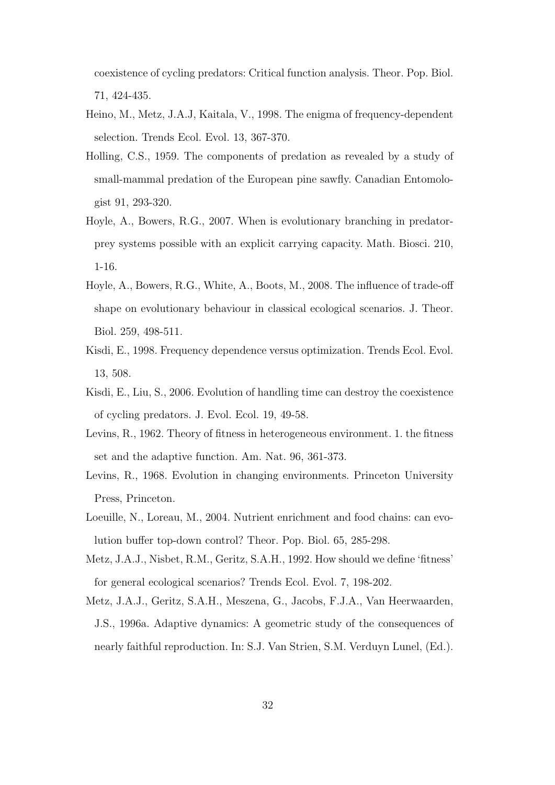coexistence of cycling predators: Critical function analysis. Theor. Pop. Biol. 71, 424-435.

- Heino, M., Metz, J.A.J, Kaitala, V., 1998. The enigma of frequency-dependent selection. Trends Ecol. Evol. 13, 367-370.
- Holling, C.S., 1959. The components of predation as revealed by a study of small-mammal predation of the European pine sawfly. Canadian Entomologist 91, 293-320.
- Hoyle, A., Bowers, R.G., 2007. When is evolutionary branching in predatorprey systems possible with an explicit carrying capacity. Math. Biosci. 210, 1-16.
- Hoyle, A., Bowers, R.G., White, A., Boots, M., 2008. The influence of trade-off shape on evolutionary behaviour in classical ecological scenarios. J. Theor. Biol. 259, 498-511.
- Kisdi, E., 1998. Frequency dependence versus optimization. Trends Ecol. Evol. 13, 508.
- Kisdi, E., Liu, S., 2006. Evolution of handling time can destroy the coexistence of cycling predators. J. Evol. Ecol. 19, 49-58.
- Levins, R., 1962. Theory of fitness in heterogeneous environment. 1. the fitness set and the adaptive function. Am. Nat. 96, 361-373.
- Levins, R., 1968. Evolution in changing environments. Princeton University Press, Princeton.
- Loeuille, N., Loreau, M., 2004. Nutrient enrichment and food chains: can evolution buffer top-down control? Theor. Pop. Biol. 65, 285-298.
- Metz, J.A.J., Nisbet, R.M., Geritz, S.A.H., 1992. How should we define 'fitness' for general ecological scenarios? Trends Ecol. Evol. 7, 198-202.
- Metz, J.A.J., Geritz, S.A.H., Meszena, G., Jacobs, F.J.A., Van Heerwaarden, J.S., 1996a. Adaptive dynamics: A geometric study of the consequences of nearly faithful reproduction. In: S.J. Van Strien, S.M. Verduyn Lunel, (Ed.).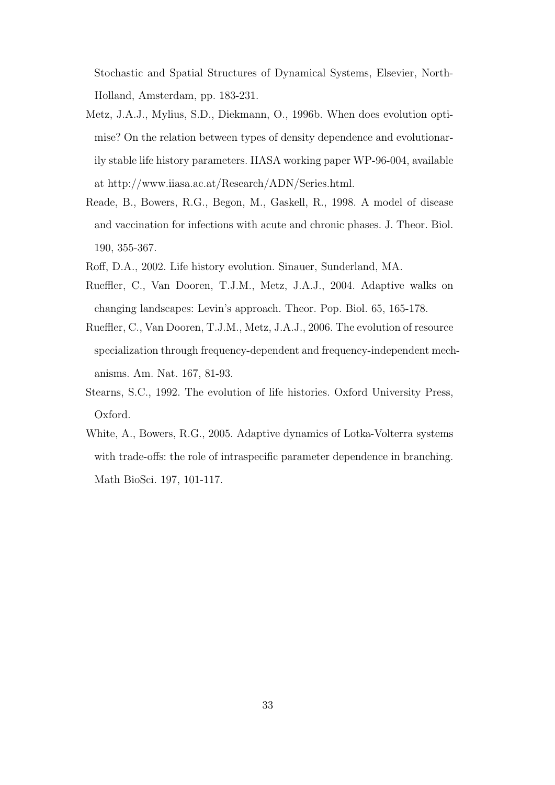Stochastic and Spatial Structures of Dynamical Systems, Elsevier, North-Holland, Amsterdam, pp. 183-231.

- Metz, J.A.J., Mylius, S.D., Diekmann, O., 1996b. When does evolution optimise? On the relation between types of density dependence and evolutionarily stable life history parameters. IIASA working paper WP-96-004, available at http://www.iiasa.ac.at/Research/ADN/Series.html.
- Reade, B., Bowers, R.G., Begon, M., Gaskell, R., 1998. A model of disease and vaccination for infections with acute and chronic phases. J. Theor. Biol. 190, 355-367.
- Roff, D.A., 2002. Life history evolution. Sinauer, Sunderland, MA.
- Rueffler, C., Van Dooren, T.J.M., Metz, J.A.J., 2004. Adaptive walks on changing landscapes: Levin's approach. Theor. Pop. Biol. 65, 165-178.
- Rueffler, C., Van Dooren, T.J.M., Metz, J.A.J., 2006. The evolution of resource specialization through frequency-dependent and frequency-independent mechanisms. Am. Nat. 167, 81-93.
- Stearns, S.C., 1992. The evolution of life histories. Oxford University Press, Oxford.
- White, A., Bowers, R.G., 2005. Adaptive dynamics of Lotka-Volterra systems with trade-offs: the role of intraspecific parameter dependence in branching. Math BioSci. 197, 101-117.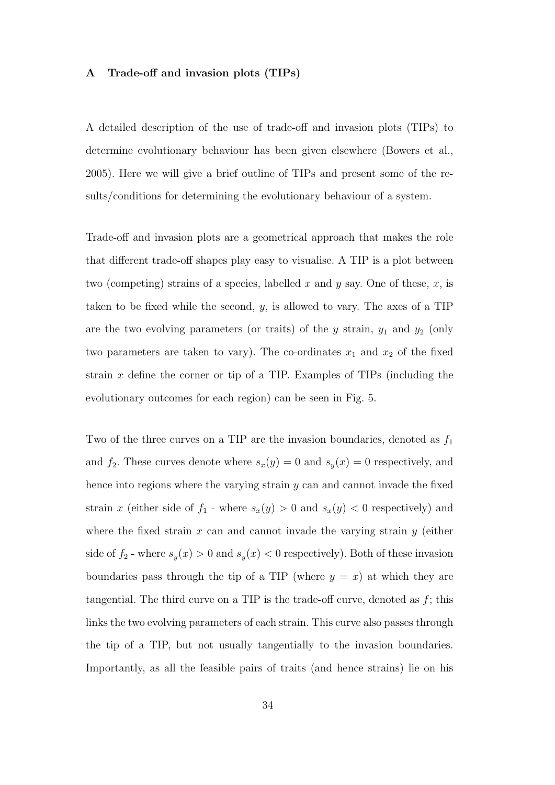#### **A Trade-off and invasion plots (TIPs)**

A detailed description of the use of trade-off and invasion plots (TIPs) to determine evolutionary behaviour has been given elsewhere (Bowers et al., 2005). Here we will give a brief outline of TIPs and present some of the results/conditions for determining the evolutionary behaviour of a system.

Trade-off and invasion plots are a geometrical approach that makes the role that different trade-off shapes play easy to visualise. A TIP is a plot between two (competing) strains of a species, labelled *x* and *y* say. One of these, *x*, is taken to be fixed while the second, *y*, is allowed to vary. The axes of a TIP are the two evolving parameters (or traits) of the  $y$  strain,  $y_1$  and  $y_2$  (only two parameters are taken to vary). The co-ordinates  $x_1$  and  $x_2$  of the fixed strain *x* define the corner or tip of a TIP. Examples of TIPs (including the evolutionary outcomes for each region) can be seen in Fig. 5.

Two of the three curves on a TIP are the invasion boundaries, denoted as  $f_1$ and  $f_2$ . These curves denote where  $s_x(y) = 0$  and  $s_y(x) = 0$  respectively, and hence into regions where the varying strain *y* can and cannot invade the fixed strain *x* (either side of  $f_1$  - where  $s_x(y) > 0$  and  $s_x(y) < 0$  respectively) and where the fixed strain *x* can and cannot invade the varying strain *y* (either side of  $f_2$  - where  $s_y(x) > 0$  and  $s_y(x) < 0$  respectively). Both of these invasion boundaries pass through the tip of a TIP (where  $y = x$ ) at which they are tangential. The third curve on a TIP is the trade-off curve, denoted as *f*; this links the two evolving parameters of each strain. This curve also passes through the tip of a TIP, but not usually tangentially to the invasion boundaries. Importantly, as all the feasible pairs of traits (and hence strains) lie on his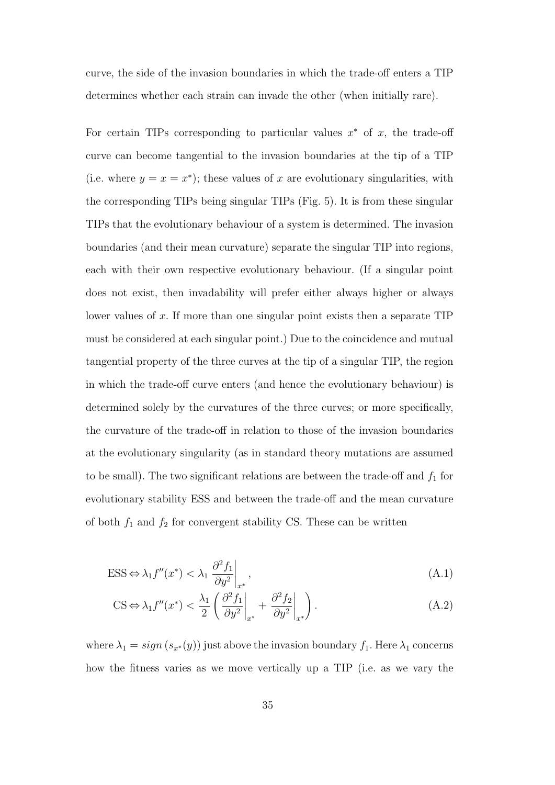curve, the side of the invasion boundaries in which the trade-off enters a TIP determines whether each strain can invade the other (when initially rare).

For certain TIPs corresponding to particular values  $x^*$  of  $x$ , the trade-off curve can become tangential to the invasion boundaries at the tip of a TIP (i.e. where  $y = x = x^*$ ); these values of x are evolutionary singularities, with the corresponding TIPs being singular TIPs (Fig. 5). It is from these singular TIPs that the evolutionary behaviour of a system is determined. The invasion boundaries (and their mean curvature) separate the singular TIP into regions, each with their own respective evolutionary behaviour. (If a singular point does not exist, then invadability will prefer either always higher or always lower values of *x*. If more than one singular point exists then a separate TIP must be considered at each singular point.) Due to the coincidence and mutual tangential property of the three curves at the tip of a singular TIP, the region in which the trade-off curve enters (and hence the evolutionary behaviour) is determined solely by the curvatures of the three curves; or more specifically, the curvature of the trade-off in relation to those of the invasion boundaries at the evolutionary singularity (as in standard theory mutations are assumed to be small). The two significant relations are between the trade-off and  $f_1$  for evolutionary stability ESS and between the trade-off and the mean curvature of both  $f_1$  and  $f_2$  for convergent stability CS. These can be written

$$
\text{ESS} \Leftrightarrow \lambda_1 f''(x^*) < \lambda_1 \left. \frac{\partial^2 f_1}{\partial y^2} \right|_{x^*},\tag{A.1}
$$

$$
\text{CS} \Leftrightarrow \lambda_1 f''(x^*) < \frac{\lambda_1}{2} \left( \frac{\partial^2 f_1}{\partial y^2} \bigg|_{x^*} + \frac{\partial^2 f_2}{\partial y^2} \bigg|_{x^*} \right). \tag{A.2}
$$

where  $\lambda_1 = sign(s_{x^*}(y))$  just above the invasion boundary  $f_1$ . Here  $\lambda_1$  concerns how the fitness varies as we move vertically up a TIP (i.e. as we vary the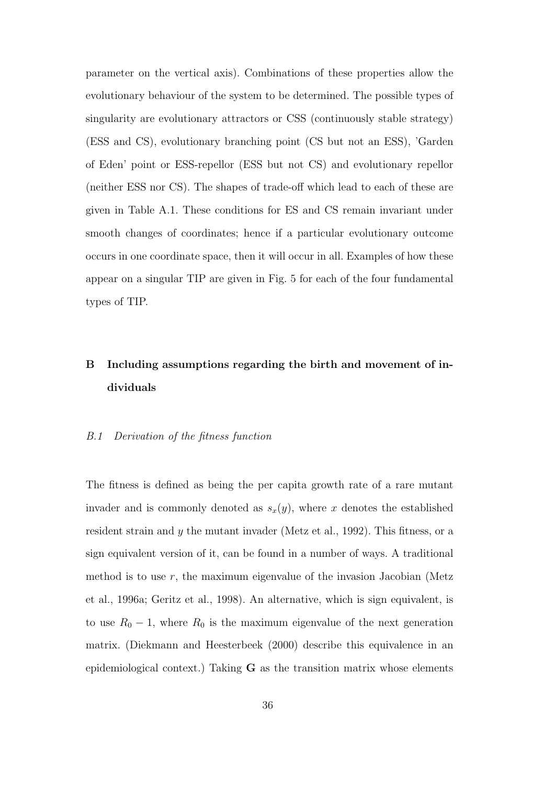parameter on the vertical axis). Combinations of these properties allow the evolutionary behaviour of the system to be determined. The possible types of singularity are evolutionary attractors or CSS (continuously stable strategy) (ESS and CS), evolutionary branching point (CS but not an ESS), 'Garden of Eden' point or ESS-repellor (ESS but not CS) and evolutionary repellor (neither ESS nor CS). The shapes of trade-off which lead to each of these are given in Table A.1. These conditions for ES and CS remain invariant under smooth changes of coordinates; hence if a particular evolutionary outcome occurs in one coordinate space, then it will occur in all. Examples of how these appear on a singular TIP are given in Fig. 5 for each of the four fundamental types of TIP.

# **B Including assumptions regarding the birth and movement of individuals**

# *B.1 Derivation of the fitness function*

The fitness is defined as being the per capita growth rate of a rare mutant invader and is commonly denoted as  $s_x(y)$ , where *x* denotes the established resident strain and *y* the mutant invader (Metz et al., 1992). This fitness, or a sign equivalent version of it, can be found in a number of ways. A traditional method is to use *r*, the maximum eigenvalue of the invasion Jacobian (Metz et al., 1996a; Geritz et al., 1998). An alternative, which is sign equivalent, is to use  $R_0 - 1$ , where  $R_0$  is the maximum eigenvalue of the next generation matrix. (Diekmann and Heesterbeek (2000) describe this equivalence in an epidemiological context.) Taking **G** as the transition matrix whose elements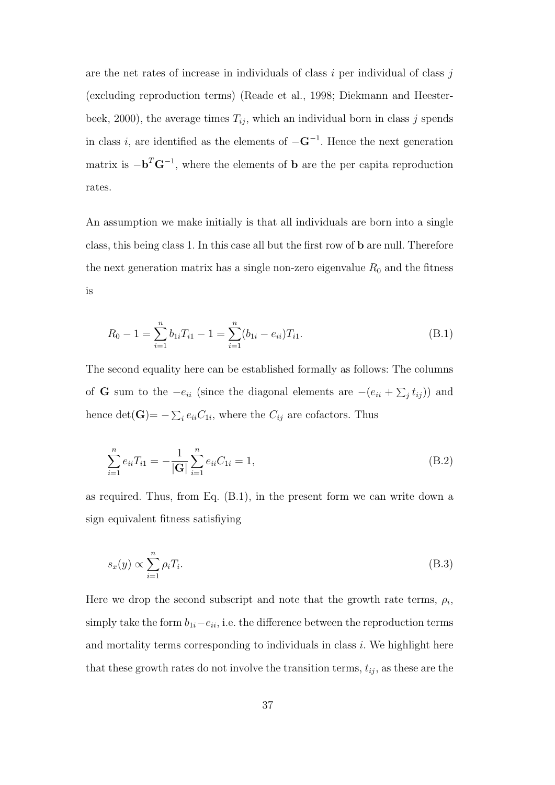are the net rates of increase in individuals of class *i* per individual of class *j* (excluding reproduction terms) (Reade et al., 1998; Diekmann and Heesterbeek, 2000), the average times  $T_{ij}$ , which an individual born in class *j* spends in class *<sup>i</sup>*, are identified as the elements of *<sup>−</sup>***G***<sup>−</sup>*<sup>1</sup> . Hence the next generation matrix is *−***b** *<sup>T</sup>***G***<sup>−</sup>*<sup>1</sup> , where the elements of **b** are the per capita reproduction rates.

An assumption we make initially is that all individuals are born into a single class, this being class 1. In this case all but the first row of **b** are null. Therefore the next generation matrix has a single non-zero eigenvalue  $R_0$  and the fitness is

$$
R_0 - 1 = \sum_{i=1}^{n} b_{1i} T_{i1} - 1 = \sum_{i=1}^{n} (b_{1i} - e_{ii}) T_{i1}.
$$
 (B.1)

The second equality here can be established formally as follows: The columns of **G** sum to the  $-e_{ii}$  (since the diagonal elements are  $-(e_{ii} + \sum_j t_{ij})$ ) and hence  $\det(\mathbf{G}) = -\sum_i e_{ii} C_{1i}$ , where the  $C_{ij}$  are cofactors. Thus

$$
\sum_{i=1}^{n} e_{ii} T_{i1} = -\frac{1}{|\mathbf{G}|} \sum_{i=1}^{n} e_{ii} C_{1i} = 1,
$$
\n(B.2)

as required. Thus, from Eq. (B.1), in the present form we can write down a sign equivalent fitness satisfiying

$$
s_x(y) \propto \sum_{i=1}^n \rho_i T_i. \tag{B.3}
$$

Here we drop the second subscript and note that the growth rate terms,  $\rho_i$ , simply take the form  $b_{1i}$ *−* $e_{ii}$ , i.e. the difference between the reproduction terms and mortality terms corresponding to individuals in class *i*. We highlight here that these growth rates do not involve the transition terms,  $t_{ij}$ , as these are the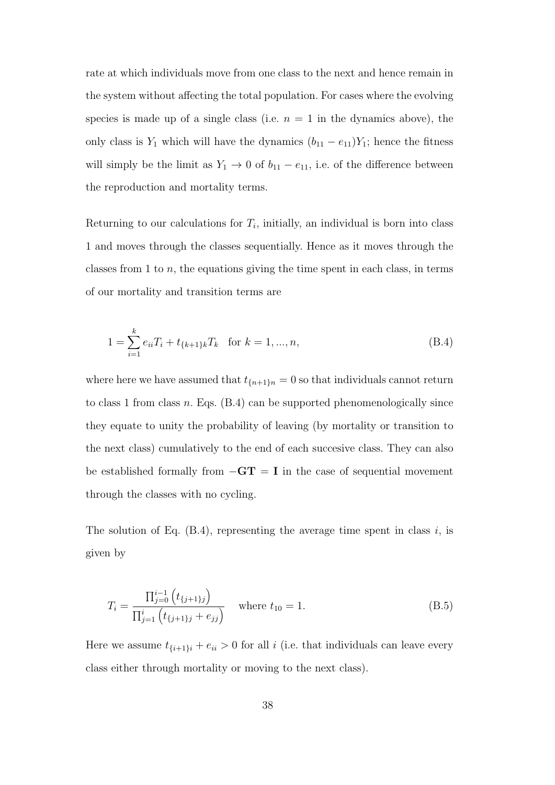rate at which individuals move from one class to the next and hence remain in the system without affecting the total population. For cases where the evolving species is made up of a single class (i.e.  $n = 1$  in the dynamics above), the only class is  $Y_1$  which will have the dynamics  $(b_{11} - e_{11})Y_1$ ; hence the fitness will simply be the limit as  $Y_1 \rightarrow 0$  of  $b_{11} - e_{11}$ , i.e. of the difference between the reproduction and mortality terms.

Returning to our calculations for  $T_i$ , initially, an individual is born into class 1 and moves through the classes sequentially. Hence as it moves through the classes from 1 to *n*, the equations giving the time spent in each class, in terms of our mortality and transition terms are

$$
1 = \sum_{i=1}^{k} e_{ii} T_i + t_{\{k+1\}k} T_k \quad \text{for } k = 1, ..., n,
$$
\n(B.4)

where here we have assumed that  $t_{\{n+1\}n} = 0$  so that individuals cannot return to class 1 from class *n*. Eqs. (B.4) can be supported phenomenologically since they equate to unity the probability of leaving (by mortality or transition to the next class) cumulatively to the end of each succesive class. They can also be established formally from *−***GT** = **I** in the case of sequential movement through the classes with no cycling.

The solution of Eq. (B.4), representing the average time spent in class *i*, is given by

$$
T_i = \frac{\prod_{j=0}^{i-1} (t_{\{j+1\}j})}{\prod_{j=1}^{i} (t_{\{j+1\}j} + e_{jj})}
$$
 where  $t_{10} = 1$ . (B.5)

Here we assume  $t_{\{i+1\}i} + e_{ii} > 0$  for all *i* (i.e. that individuals can leave every class either through mortality or moving to the next class).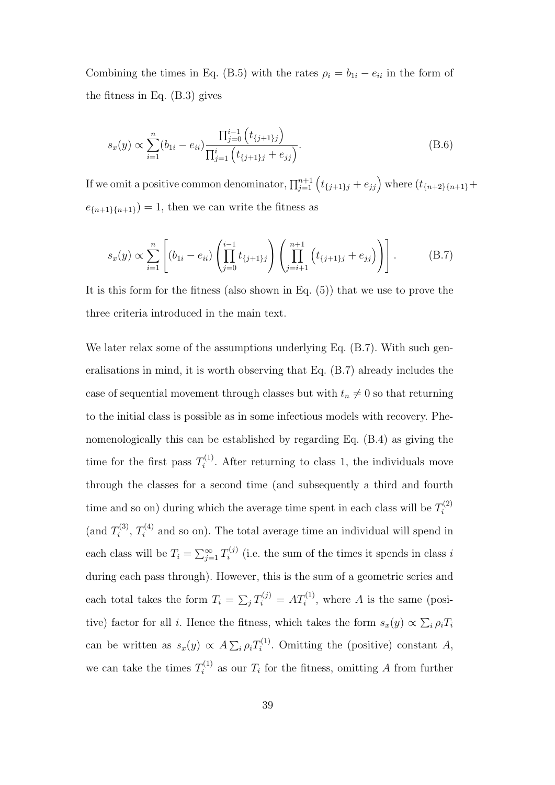Combining the times in Eq. (B.5) with the rates  $\rho_i = b_{1i} - e_{ii}$  in the form of the fitness in Eq. (B.3) gives

$$
s_x(y) \propto \sum_{i=1}^n (b_{1i} - e_{ii}) \frac{\prod_{j=0}^{i-1} (t_{\{j+1\}j})}{\prod_{j=1}^i (t_{\{j+1\}j} + e_{jj})}.
$$
 (B.6)

If we omit a positive common denominator,  $\prod_{j=1}^{n+1} (t_{\{j+1\}j} + e_{jj})$  where  $(t_{\{n+2\}\{n+1\}} +$  $e_{\{n+1\}\{n+1\}}$  = 1, then we can write the fitness as

$$
s_x(y) \propto \sum_{i=1}^n \left[ (b_{1i} - e_{ii}) \left( \prod_{j=0}^{i-1} t_{\{j+1\}j} \right) \left( \prod_{j=i+1}^{n+1} \left( t_{\{j+1\}j} + e_{jj} \right) \right) \right].
$$
 (B.7)

It is this form for the fitness (also shown in Eq. (5)) that we use to prove the three criteria introduced in the main text.

We later relax some of the assumptions underlying Eq. (B.7). With such generalisations in mind, it is worth observing that Eq. (B.7) already includes the case of sequential movement through classes but with  $t_n \neq 0$  so that returning to the initial class is possible as in some infectious models with recovery. Phenomenologically this can be established by regarding Eq. (B.4) as giving the time for the first pass  $T_i^{(1)}$  $i^{(1)}$ . After returning to class 1, the individuals move through the classes for a second time (and subsequently a third and fourth time and so on) during which the average time spent in each class will be  $T_i^{(2)}$ *i* (and  $T_i^{(3)}$  $T_i^{(3)}$ ,  $T_i^{(4)}$  and so on). The total average time an individual will spend in each class will be  $T_i = \sum_{j=1}^{\infty} T_i^{(j)}$  $i^{(j)}$  (i.e. the sum of the times it spends in class *i* during each pass through). However, this is the sum of a geometric series and each total takes the form  $T_i = \sum_j T_i^{(j)} = AT_i^{(1)}$ , where *A* is the same (positive) factor for all *i*. Hence the fitness, which takes the form  $s_x(y) \propto \sum_i \rho_i T_i$ can be written as  $s_x(y) \propto A \sum_i \rho_i T_i^{(1)}$  $I_i^{(1)}$ . Omitting the (positive) constant *A*, we can take the times  $T_i^{(1)}$  as our  $T_i$  for the fitness, omitting *A* from further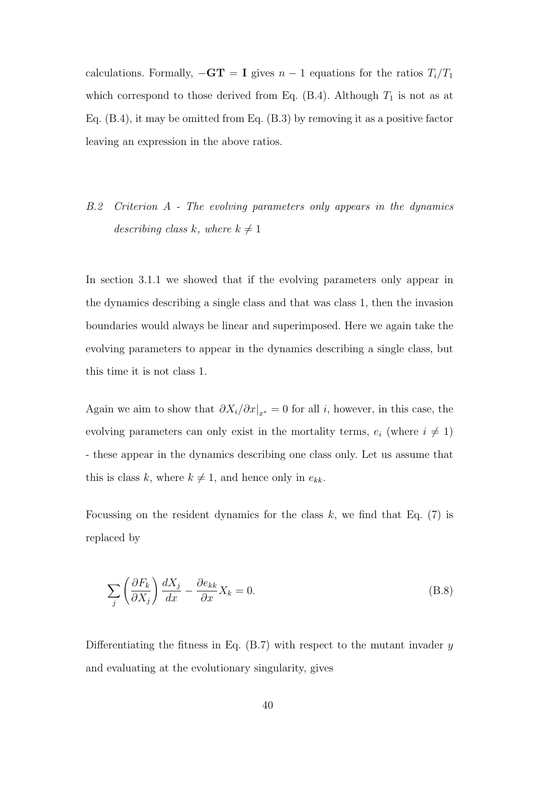calculations. Formally,  $-\mathbf{GT} = \mathbf{I}$  gives  $n-1$  equations for the ratios  $T_i/T_1$ which correspond to those derived from Eq.  $(B.4)$ . Although  $T_1$  is not as at Eq. (B.4), it may be omitted from Eq. (B.3) by removing it as a positive factor leaving an expression in the above ratios.

*B.2 Criterion A - The evolving parameters only appears in the dynamics describing class k, where*  $k \neq 1$ 

In section 3.1.1 we showed that if the evolving parameters only appear in the dynamics describing a single class and that was class 1, then the invasion boundaries would always be linear and superimposed. Here we again take the evolving parameters to appear in the dynamics describing a single class, but this time it is not class 1.

Again we aim to show that  $\partial X_i/\partial x|_{x^*} = 0$  for all *i*, however, in this case, the evolving parameters can only exist in the mortality terms,  $e_i$  (where  $i \neq 1$ ) - these appear in the dynamics describing one class only. Let us assume that this is class *k*, where  $k \neq 1$ , and hence only in  $e_{kk}$ .

Focussing on the resident dynamics for the class *k*, we find that Eq. (7) is replaced by

$$
\sum_{j} \left( \frac{\partial F_k}{\partial X_j} \right) \frac{dX_j}{dx} - \frac{\partial e_{kk}}{\partial x} X_k = 0.
$$
\n(B.8)

Differentiating the fitness in Eq. (B.7) with respect to the mutant invader *y* and evaluating at the evolutionary singularity, gives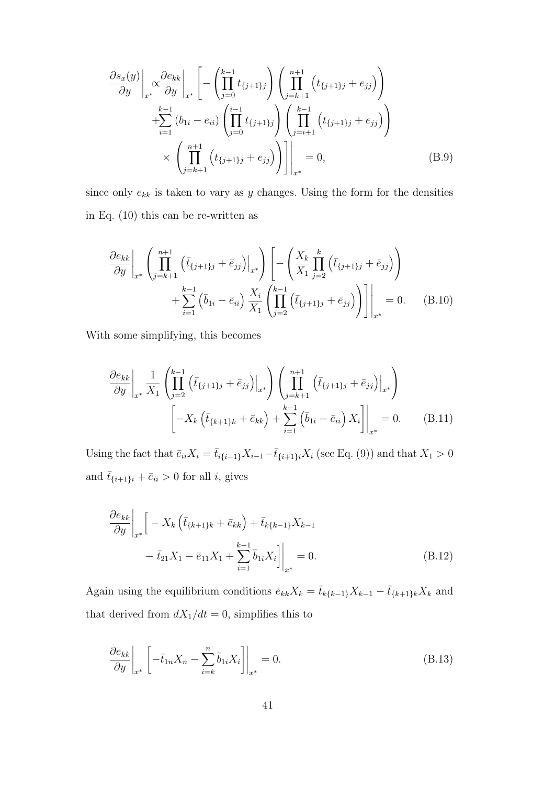$$
\frac{\partial s_x(y)}{\partial y}\Big|_{x^*} \propto \frac{\partial e_{kk}}{\partial y}\Big|_{x^*} \left[ -\left(\prod_{j=0}^{k-1} t_{\{j+1\}j}\right) \left(\prod_{j=k+1}^{n+1} \left(t_{\{j+1\}j} + e_{jj}\right)\right) + \sum_{i=1}^{k-1} \left(b_{1i} - e_{ii}\right) \left(\prod_{j=0}^{i-1} t_{\{j+1\}j}\right) \left(\prod_{j=i+1}^{k-1} \left(t_{\{j+1\}j} + e_{jj}\right)\right) \times \left(\prod_{j=k+1}^{n+1} \left(t_{\{j+1\}j} + e_{jj}\right)\right) \Big|_{x^*} = 0,
$$
\n(B.9)

since only  $e_{kk}$  is taken to vary as  $y$  changes. Using the form for the densities in Eq. (10) this can be re-written as

$$
\frac{\partial e_{kk}}{\partial y}\Big|_{x^*} \left( \prod_{j=k+1}^{n+1} \left( \bar{t}_{\{j+1\}j} + \bar{e}_{jj} \right) \Big|_{x^*} \right) \left[ - \left( \frac{X_k}{X_1} \prod_{j=2}^k \left( \bar{t}_{\{j+1\}j} + \bar{e}_{jj} \right) \right) + \sum_{i=1}^{k-1} \left( \bar{b}_{1i} - \bar{e}_{ii} \right) \frac{X_i}{X_1} \left( \prod_{j=2}^{k-1} \left( \bar{t}_{\{j+1\}j} + \bar{e}_{jj} \right) \right) \Big|_{x^*} \right] = 0. \quad (B.10)
$$

With some simplifying, this becomes

$$
\frac{\partial e_{kk}}{\partial y}\Big|_{x^*} \frac{1}{X_1} \left( \prod_{j=2}^{k-1} \left( \bar{t}_{\{j+1\}j} + \bar{e}_{jj} \right) \Big|_{x^*} \right) \left( \prod_{j=k+1}^{n+1} \left( \bar{t}_{\{j+1\}j} + \bar{e}_{jj} \right) \Big|_{x^*} \right) \left[ -X_k \left( \bar{t}_{\{k+1\}k} + \bar{e}_{kk} \right) + \sum_{i=1}^{k-1} \left( \bar{b}_{1i} - \bar{e}_{ii} \right) X_i \right] \Big|_{x^*} = 0.
$$
 (B.11)

Using the fact that  $\bar{e}_{ii}X_i = \bar{t}_{i\{i-1\}}X_{i-1} - \bar{t}_{\{i+1\}i}X_i$  (see Eq. (9)) and that  $X_1 > 0$ and  $\bar{t}_{\{i+1\}i} + \bar{e}_{ii} > 0$  for all *i*, gives

$$
\frac{\partial e_{kk}}{\partial y}\Big|_{x^*} \Big[ -X_k \left( \bar{t}_{\{k+1\}k} + \bar{e}_{kk} \right) + \bar{t}_{k\{k-1\}} X_{k-1} - \bar{t}_{21} X_1 - \bar{e}_{11} X_1 + \sum_{i=1}^{k-1} \bar{b}_{1i} X_i \Big] \Big|_{x^*} = 0.
$$
\n(B.12)

Again using the equilibrium conditions  $\bar{e}_{kk}X_k = \bar{t}_{k\{k-1\}}X_{k-1} - \bar{t}_{\{k+1\}k}X_k$  and that derived from  $dX_1/dt = 0$ , simplifies this to

$$
\left. \frac{\partial e_{kk}}{\partial y} \right|_{x^*} \left[ -\bar{t}_{1n} X_n - \sum_{i=k}^n \bar{b}_{1i} X_i \right] \bigg|_{x^*} = 0. \tag{B.13}
$$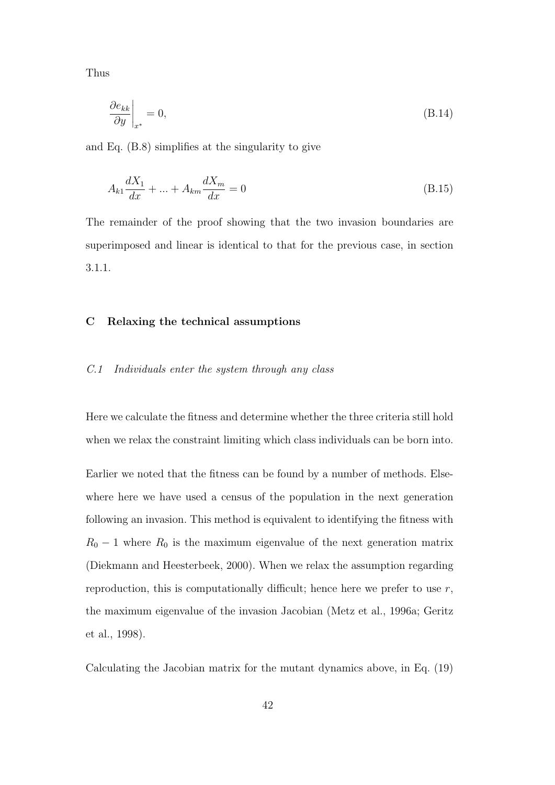Thus

$$
\left. \frac{\partial e_{kk}}{\partial y} \right|_{x^*} = 0,\tag{B.14}
$$

and Eq. (B.8) simplifies at the singularity to give

$$
A_{k1}\frac{dX_1}{dx} + \dots + A_{km}\frac{dX_m}{dx} = 0
$$
\n(B.15)

The remainder of the proof showing that the two invasion boundaries are superimposed and linear is identical to that for the previous case, in section 3.1.1.

# **C Relaxing the technical assumptions**

#### *C.1 Individuals enter the system through any class*

Here we calculate the fitness and determine whether the three criteria still hold when we relax the constraint limiting which class individuals can be born into.

Earlier we noted that the fitness can be found by a number of methods. Elsewhere here we have used a census of the population in the next generation following an invasion. This method is equivalent to identifying the fitness with  $R_0$  − 1 where  $R_0$  is the maximum eigenvalue of the next generation matrix (Diekmann and Heesterbeek, 2000). When we relax the assumption regarding reproduction, this is computationally difficult; hence here we prefer to use *r*, the maximum eigenvalue of the invasion Jacobian (Metz et al., 1996a; Geritz et al., 1998).

Calculating the Jacobian matrix for the mutant dynamics above, in Eq. (19)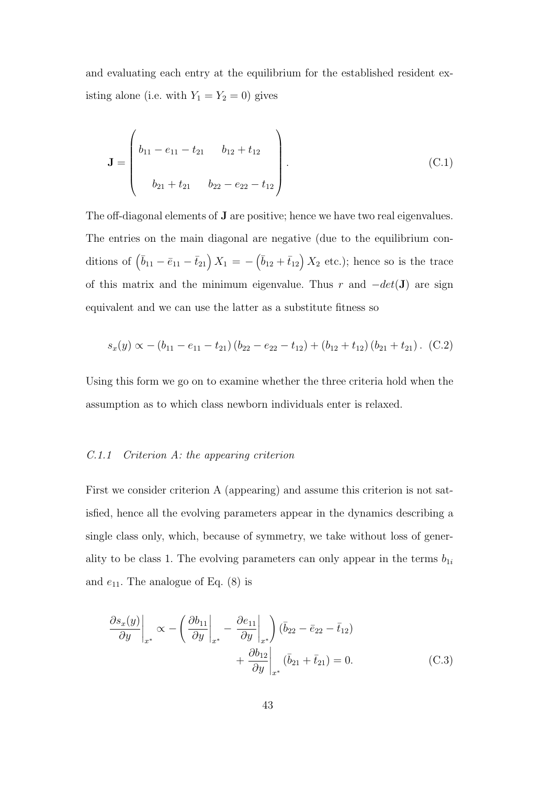and evaluating each entry at the equilibrium for the established resident existing alone (i.e. with  $Y_1 = Y_2 = 0$ ) gives

$$
\mathbf{J} = \begin{pmatrix} b_{11} - e_{11} - t_{21} & b_{12} + t_{12} \\ b_{21} + t_{21} & b_{22} - e_{22} - t_{12} \end{pmatrix}.
$$
 (C.1)

The off-diagonal elements of **J** are positive; hence we have two real eigenvalues. The entries on the main diagonal are negative (due to the equilibrium conditions of  $(\bar{b}_{11} - \bar{e}_{11} - \bar{t}_{21}) X_1 = -(\bar{b}_{12} + \bar{t}_{12}) X_2$  etc.); hence so is the trace of this matrix and the minimum eigenvalue. Thus *r* and *−det*(**J**) are sign equivalent and we can use the latter as a substitute fitness so

$$
s_x(y) \propto -(b_{11}-e_{11}-t_{21})(b_{22}-e_{22}-t_{12})+(b_{12}+t_{12})(b_{21}+t_{21}). \quad (C.2)
$$

Using this form we go on to examine whether the three criteria hold when the assumption as to which class newborn individuals enter is relaxed.

#### *C.1.1 Criterion A: the appearing criterion*

First we consider criterion A (appearing) and assume this criterion is not satisfied, hence all the evolving parameters appear in the dynamics describing a single class only, which, because of symmetry, we take without loss of generality to be class 1. The evolving parameters can only appear in the terms  $b_{1i}$ and  $e_{11}$ . The analogue of Eq.  $(8)$  is

$$
\frac{\partial s_x(y)}{\partial y}\Big|_{x^*} \propto -\left(\frac{\partial b_{11}}{\partial y}\Big|_{x^*} - \frac{\partial e_{11}}{\partial y}\Big|_{x^*}\right)(\bar{b}_{22} - \bar{e}_{22} - \bar{t}_{12}) + \frac{\partial b_{12}}{\partial y}\Big|_{x^*} (\bar{b}_{21} + \bar{t}_{21}) = 0.
$$
\n(C.3)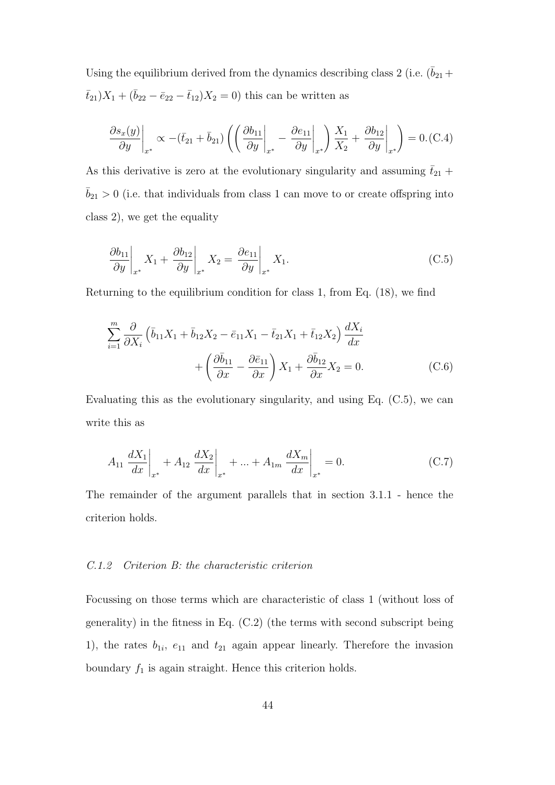Using the equilibrium derived from the dynamics describing class 2 (i.e.  $(\bar{b}_{21} +$  $\bar{t}_{21}$ )*X*<sub>1</sub> + ( $\bar{b}_{22} - \bar{e}_{22} - \bar{t}_{12}$ )*X*<sub>2</sub> = 0) this can be written as

$$
\frac{\partial s_x(y)}{\partial y}\bigg|_{x^*} \propto -(\bar{t}_{21} + \bar{b}_{21}) \left( \left( \frac{\partial b_{11}}{\partial y}\bigg|_{x^*} - \frac{\partial e_{11}}{\partial y}\bigg|_{x^*} \right) \frac{X_1}{X_2} + \frac{\partial b_{12}}{\partial y}\bigg|_{x^*} \right) = 0. \text{(C.4)}
$$

As this derivative is zero at the evolutionary singularity and assuming  $\bar{t}_{21}$  +  $\bar{b}_{21} > 0$  (i.e. that individuals from class 1 can move to or create offspring into class 2), we get the equality

$$
\left. \frac{\partial b_{11}}{\partial y} \right|_{x^*} X_1 + \left. \frac{\partial b_{12}}{\partial y} \right|_{x^*} X_2 = \left. \frac{\partial e_{11}}{\partial y} \right|_{x^*} X_1. \tag{C.5}
$$

Returning to the equilibrium condition for class 1, from Eq. (18), we find

$$
\sum_{i=1}^{m} \frac{\partial}{\partial X_i} \left( \bar{b}_{11} X_1 + \bar{b}_{12} X_2 - \bar{e}_{11} X_1 - \bar{t}_{21} X_1 + \bar{t}_{12} X_2 \right) \frac{dX_i}{dx} + \left( \frac{\partial \bar{b}_{11}}{\partial x} - \frac{\partial \bar{e}_{11}}{\partial x} \right) X_1 + \frac{\partial \bar{b}_{12}}{\partial x} X_2 = 0.
$$
 (C.6)

Evaluating this as the evolutionary singularity, and using Eq.  $(C.5)$ , we can write this as

$$
A_{11} \frac{dX_1}{dx}\bigg|_{x^*} + A_{12} \frac{dX_2}{dx}\bigg|_{x^*} + \dots + A_{1m} \frac{dX_m}{dx}\bigg|_{x^*} = 0.
$$
 (C.7)

The remainder of the argument parallels that in section 3.1.1 - hence the criterion holds.

# *C.1.2 Criterion B: the characteristic criterion*

Focussing on those terms which are characteristic of class 1 (without loss of generality) in the fitness in Eq. (C.2) (the terms with second subscript being 1), the rates  $b_{1i}$ ,  $e_{11}$  and  $t_{21}$  again appear linearly. Therefore the invasion boundary  $f_1$  is again straight. Hence this criterion holds.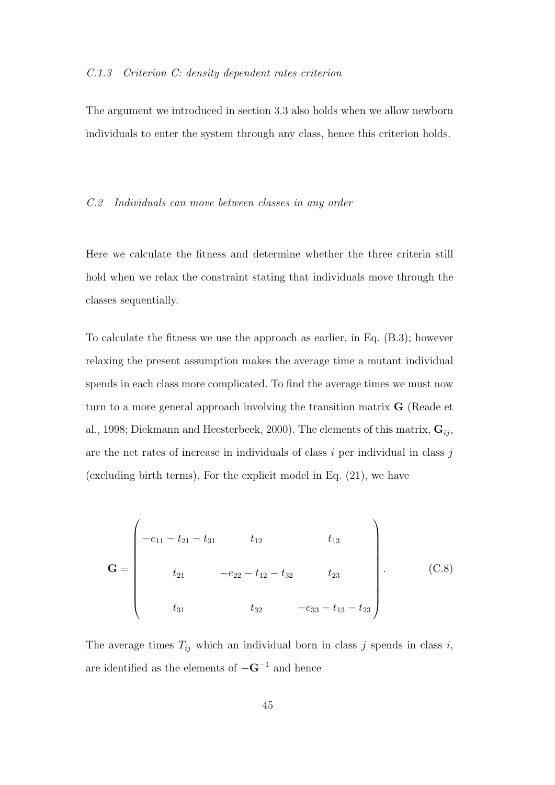#### *C.1.3 Criterion C: density dependent rates criterion*

The argument we introduced in section 3.3 also holds when we allow newborn individuals to enter the system through any class, hence this criterion holds.

#### *C.2 Individuals can move between classes in any order*

Here we calculate the fitness and determine whether the three criteria still hold when we relax the constraint stating that individuals move through the classes sequentially.

To calculate the fitness we use the approach as earlier, in Eq. (B.3); however relaxing the present assumption makes the average time a mutant individual spends in each class more complicated. To find the average times we must now turn to a more general approach involving the transition matrix **G** (Reade et al., 1998; Diekmann and Heesterbeek, 2000). The elements of this matrix, **G***ij* , are the net rates of increase in individuals of class *i* per individual in class *j* (excluding birth terms). For the explicit model in Eq. (21), we have

$$
\mathbf{G} = \begin{pmatrix}\n-e_{11} - t_{21} - t_{31} & t_{12} & t_{13} \\
t_{21} & -e_{22} - t_{12} - t_{32} & t_{23} \\
t_{31} & t_{32} & -e_{33} - t_{13} - t_{23}\n\end{pmatrix}.
$$
\n(C.8)

The average times  $T_{ij}$  which an individual born in class  $j$  spends in class  $i$ , are identified as the elements of *<sup>−</sup>***G***<sup>−</sup>*<sup>1</sup> and hence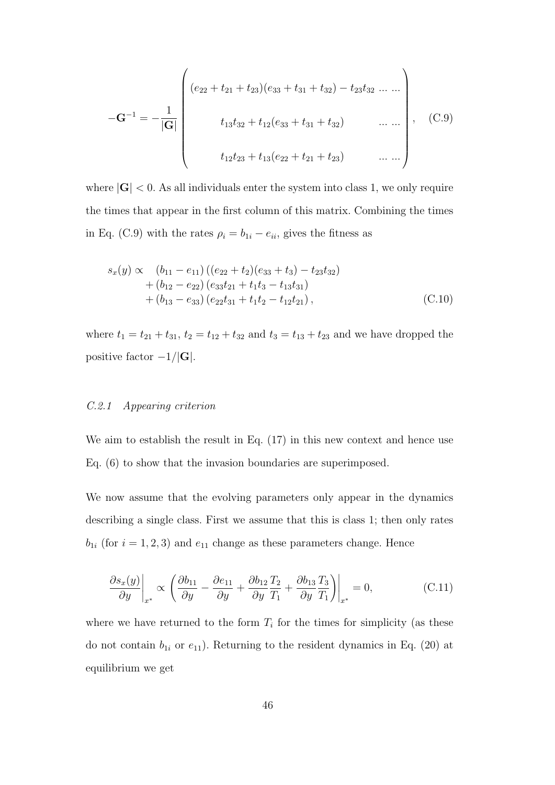$$
-\mathbf{G}^{-1} = -\frac{1}{|\mathbf{G}|} \begin{pmatrix} (e_{22} + t_{21} + t_{23})(e_{33} + t_{31} + t_{32}) - t_{23}t_{32} \dots \dots \\ t_{13}t_{32} + t_{12}(e_{33} + t_{31} + t_{32}) & \dots \dots \\ t_{12}t_{23} + t_{13}(e_{22} + t_{21} + t_{23}) & \dots \dots \end{pmatrix}, \quad (\text{C.9})
$$

where  $|\mathbf{G}| < 0$ . As all individuals enter the system into class 1, we only require the times that appear in the first column of this matrix. Combining the times in Eq. (C.9) with the rates  $\rho_i = b_{1i} - e_{ii}$ , gives the fitness as

$$
s_x(y) \propto (b_{11} - e_{11}) ((e_{22} + t_2)(e_{33} + t_3) - t_{23}t_{32})
$$
  
+  $(b_{12} - e_{22}) (e_{33}t_{21} + t_1t_3 - t_{13}t_{31})$   
+  $(b_{13} - e_{33}) (e_{22}t_{31} + t_1t_2 - t_{12}t_{21}),$  (C.10)

where  $t_1 = t_{21} + t_{31}$ ,  $t_2 = t_{12} + t_{32}$  and  $t_3 = t_{13} + t_{23}$  and we have dropped the positive factor *−*1*/|***G***|*.

# *C.2.1 Appearing criterion*

We aim to establish the result in Eq. (17) in this new context and hence use Eq. (6) to show that the invasion boundaries are superimposed.

We now assume that the evolving parameters only appear in the dynamics describing a single class. First we assume that this is class 1; then only rates  $b_{1i}$  (for  $i = 1, 2, 3$ ) and  $e_{11}$  change as these parameters change. Hence

$$
\left. \frac{\partial s_x(y)}{\partial y} \right|_{x^*} \propto \left( \frac{\partial b_{11}}{\partial y} - \frac{\partial e_{11}}{\partial y} + \frac{\partial b_{12}}{\partial y} \frac{T_2}{T_1} + \frac{\partial b_{13}}{\partial y} \frac{T_3}{T_1} \right) \bigg|_{x^*} = 0, \tag{C.11}
$$

where we have returned to the form  $T_i$  for the times for simplicity (as these do not contain  $b_{1i}$  or  $e_{11}$ ). Returning to the resident dynamics in Eq. (20) at equilibrium we get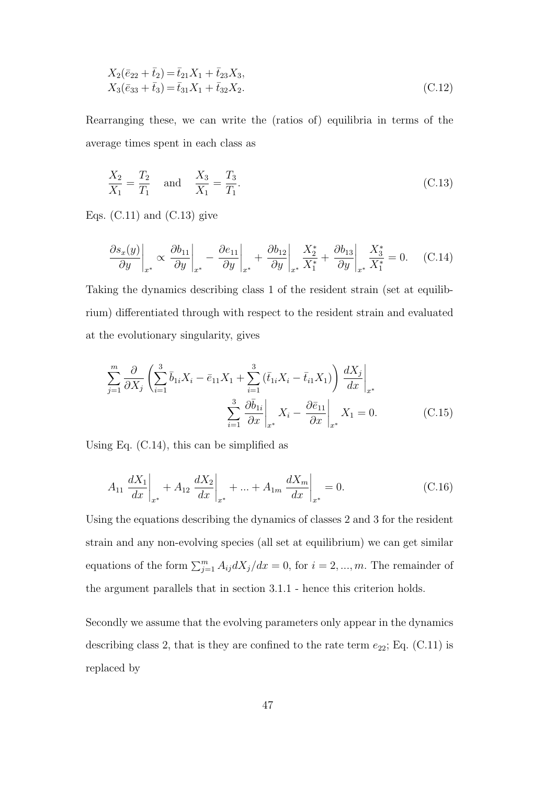$$
X_2(\bar{e}_{22} + \bar{t}_2) = \bar{t}_{21}X_1 + \bar{t}_{23}X_3,
$$
  
\n
$$
X_3(\bar{e}_{33} + \bar{t}_3) = \bar{t}_{31}X_1 + \bar{t}_{32}X_2.
$$
\n(C.12)

Rearranging these, we can write the (ratios of) equilibria in terms of the average times spent in each class as

$$
\frac{X_2}{X_1} = \frac{T_2}{T_1} \quad \text{and} \quad \frac{X_3}{X_1} = \frac{T_3}{T_1}.
$$
 (C.13)

Eqs.  $(C.11)$  and  $(C.13)$  give

$$
\left. \frac{\partial s_x(y)}{\partial y} \right|_{x^*} \propto \left. \frac{\partial b_{11}}{\partial y} \right|_{x^*} - \left. \frac{\partial e_{11}}{\partial y} \right|_{x^*} + \left. \frac{\partial b_{12}}{\partial y} \right|_{x^*} \frac{X_2^*}{X_1^*} + \left. \frac{\partial b_{13}}{\partial y} \right|_{x^*} \frac{X_3^*}{X_1^*} = 0. \tag{C.14}
$$

Taking the dynamics describing class 1 of the resident strain (set at equilibrium) differentiated through with respect to the resident strain and evaluated at the evolutionary singularity, gives

$$
\sum_{j=1}^{m} \frac{\partial}{\partial X_j} \left( \sum_{i=1}^{3} \bar{b}_{1i} X_i - \bar{e}_{11} X_1 + \sum_{i=1}^{3} (\bar{t}_{1i} X_i - \bar{t}_{i1} X_1) \right) \left. \frac{dX_j}{dx} \right|_{x^*} \n\sum_{i=1}^{3} \left. \frac{\partial \bar{b}_{1i}}{\partial x} \right|_{x^*} X_i - \left. \frac{\partial \bar{e}_{11}}{\partial x} \right|_{x^*} X_1 = 0.
$$
\n(C.15)

Using Eq. (C.14), this can be simplified as

$$
A_{11} \frac{dX_1}{dx}\bigg|_{x^*} + A_{12} \frac{dX_2}{dx}\bigg|_{x^*} + \dots + A_{1m} \frac{dX_m}{dx}\bigg|_{x^*} = 0.
$$
 (C.16)

Using the equations describing the dynamics of classes 2 and 3 for the resident strain and any non-evolving species (all set at equilibrium) we can get similar equations of the form  $\sum_{j=1}^{m} A_{ij} dX_j/dx = 0$ , for  $i = 2, ..., m$ . The remainder of the argument parallels that in section 3.1.1 - hence this criterion holds.

Secondly we assume that the evolving parameters only appear in the dynamics describing class 2, that is they are confined to the rate term  $e_{22}$ ; Eq. (C.11) is replaced by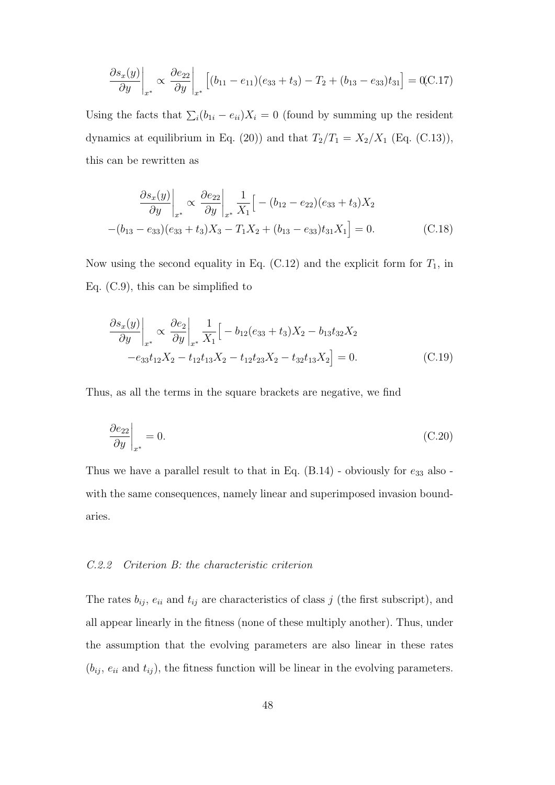$$
\frac{\partial s_x(y)}{\partial y}\bigg|_{x^*} \propto \frac{\partial e_{22}}{\partial y}\bigg|_{x^*} \left[ (b_{11} - e_{11})(e_{33} + t_3) - T_2 + (b_{13} - e_{33})t_{31} \right] = 0.0017
$$

Using the facts that  $\sum_i (b_{1i} - e_{ii}) X_i = 0$  (found by summing up the resident dynamics at equilibrium in Eq. (20)) and that  $T_2/T_1 = X_2/X_1$  (Eq. (C.13)), this can be rewritten as

$$
\frac{\partial s_x(y)}{\partial y}\Big|_{x^*} \propto \frac{\partial e_{22}}{\partial y}\Big|_{x^*} \frac{1}{X_1} \Big[ -(b_{12} - e_{22})(e_{33} + t_3)X_2
$$

$$
-(b_{13} - e_{33})(e_{33} + t_3)X_3 - T_1X_2 + (b_{13} - e_{33})t_{31}X_1 \Big] = 0. \tag{C.18}
$$

Now using the second equality in Eq.  $(C.12)$  and the explicit form for  $T_1$ , in Eq. (C.9), this can be simplified to

$$
\frac{\partial s_x(y)}{\partial y}\Big|_{x^*} \propto \frac{\partial e_2}{\partial y}\Big|_{x^*} \frac{1}{X_1} \Big[ -b_{12}(e_{33} + t_3)X_2 - b_{13}t_{32}X_2 -e_{33}t_{12}X_2 - t_{12}t_{13}X_2 - t_{12}t_{23}X_2 - t_{32}t_{13}X_2 \Big] = 0.
$$
\n(C.19)

Thus, as all the terms in the square brackets are negative, we find

$$
\left. \frac{\partial e_{22}}{\partial y} \right|_{x^*} = 0. \tag{C.20}
$$

Thus we have a parallel result to that in Eq.  $(B.14)$  - obviously for  $e_{33}$  also with the same consequences, namely linear and superimposed invasion boundaries.

# *C.2.2 Criterion B: the characteristic criterion*

The rates  $b_{ij}$ ,  $e_{ii}$  and  $t_{ij}$  are characteristics of class  $j$  (the first subscript), and all appear linearly in the fitness (none of these multiply another). Thus, under the assumption that the evolving parameters are also linear in these rates  $(b_{ij}, e_{ii} \text{ and } t_{ij})$ , the fitness function will be linear in the evolving parameters.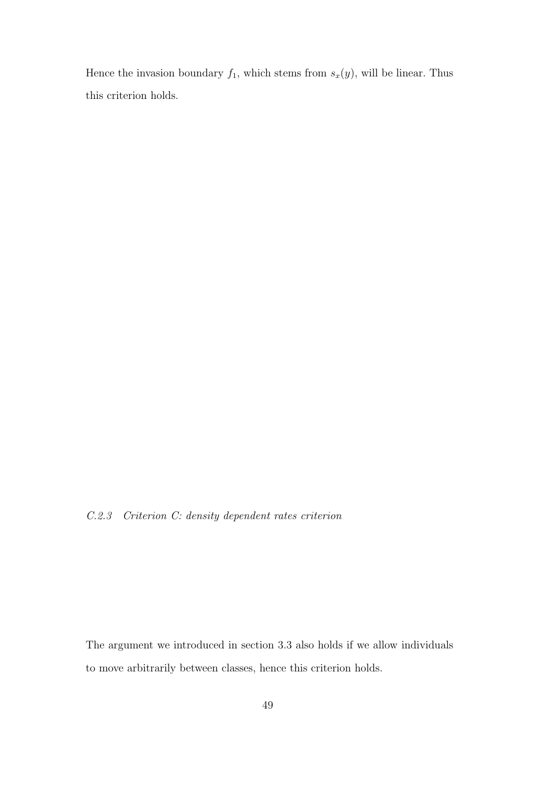Hence the invasion boundary  $f_1$ , which stems from  $s_x(y)$ , will be linear. Thus this criterion holds.

*C.2.3 Criterion C: density dependent rates criterion*

The argument we introduced in section 3.3 also holds if we allow individuals to move arbitrarily between classes, hence this criterion holds.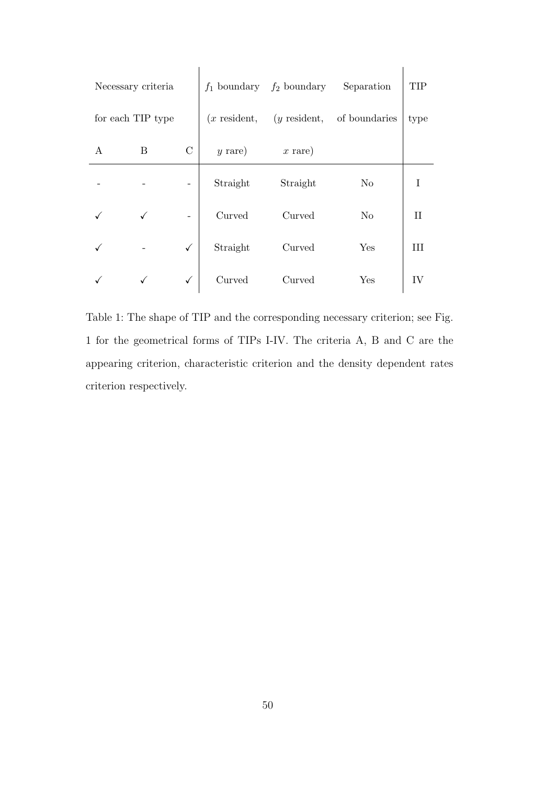| Necessary criteria |   |                |                  | $f_1$ boundary $f_2$ boundary | Separation     | <b>TIP</b> |
|--------------------|---|----------------|------------------|-------------------------------|----------------|------------|
| for each TIP type  |   | $(x$ resident, | $(y$ resident,   | of boundaries                 | type           |            |
| A                  | B | $\mathcal{C}$  | $y \text{ rare}$ | $x \text{ rare}$              |                |            |
|                    |   |                | Straight         | Straight                      | N <sub>o</sub> |            |
|                    |   |                | Curved           | Curved                        | N <sub>o</sub> | Н          |
|                    |   | $\checkmark$   | Straight         | Curved                        | Yes            | III        |
|                    |   | $\checkmark$   | Curved           | Curved                        | Yes            | IV         |

Table 1: The shape of TIP and the corresponding necessary criterion; see Fig. 1 for the geometrical forms of TIPs I-IV. The criteria A, B and C are the appearing criterion, characteristic criterion and the density dependent rates criterion respectively.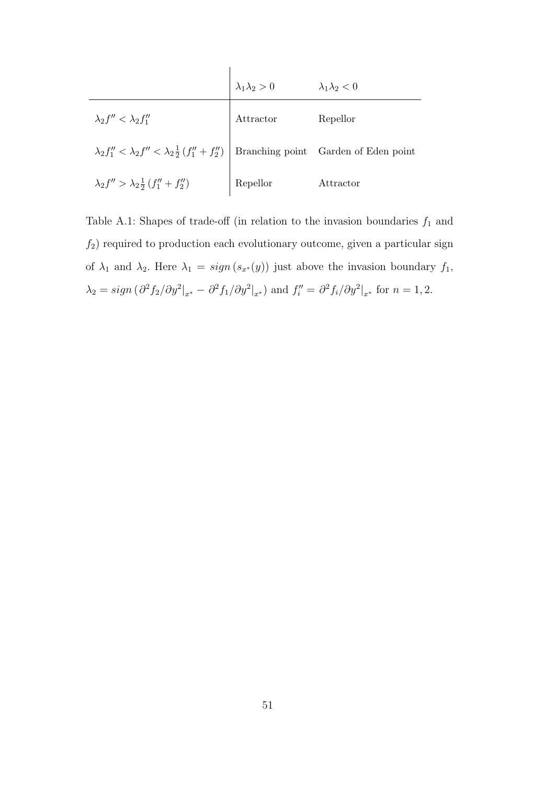|                                                                                                                | $\lambda_1 \lambda_2 > 0$ | $\lambda_1\lambda_2<0$ |
|----------------------------------------------------------------------------------------------------------------|---------------------------|------------------------|
| $\lambda_2 f'' < \lambda_2 f''_1$                                                                              | ${\rm Attractor}$         | Repellor               |
| $\lambda_2 f_1'' < \lambda_2 f'' < \lambda_2 \frac{1}{2} (f_1'' + f_2'')$ Branching point Garden of Eden point |                           |                        |
| $\lambda_2 f'' > \lambda_2 \frac{1}{2} (f''_1 + f''_2)$ Repellor                                               |                           | Attractor              |

Table A.1: Shapes of trade-off (in relation to the invasion boundaries  $f_1$  and  $f_2$ ) required to production each evolutionary outcome, given a particular sign of  $\lambda_1$  and  $\lambda_2$ . Here  $\lambda_1 = sign(s_{x*}(y))$  just above the invasion boundary  $f_1$ ,  $\lambda_2 = sign \left(\frac{\partial^2 f_2}{\partial y^2}\big|_{x^*} - \frac{\partial^2 f_1}{\partial y^2}\big|_{x^*}\right)$  and  $f''_i = \frac{\partial^2 f_i}{\partial y^2}\big|_{x^*}$  for  $n = 1, 2$ .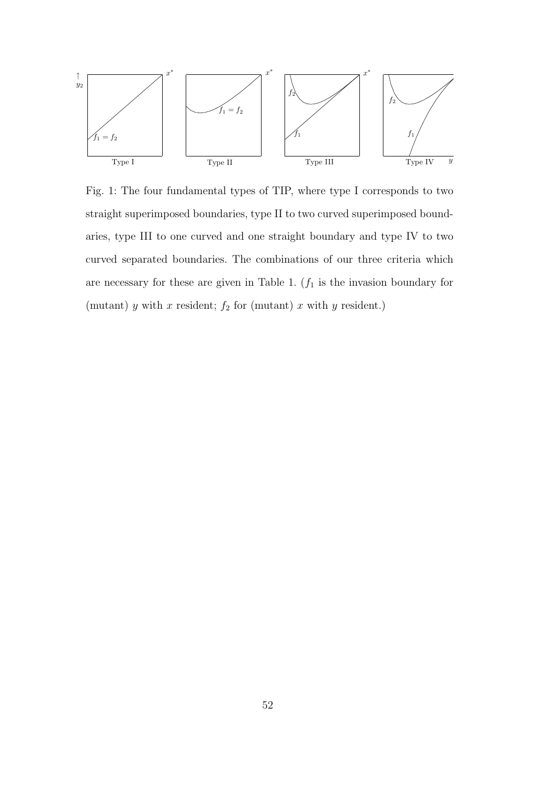

Fig. 1: The four fundamental types of TIP, where type I corresponds to two straight superimposed boundaries, type II to two curved superimposed boundaries, type III to one curved and one straight boundary and type IV to two curved separated boundaries. The combinations of our three criteria which are necessary for these are given in Table 1.  $(f_1$  is the invasion boundary for (mutant)  $y$  with  $x$  resident;  $f_2$  for (mutant)  $x$  with  $y$  resident.)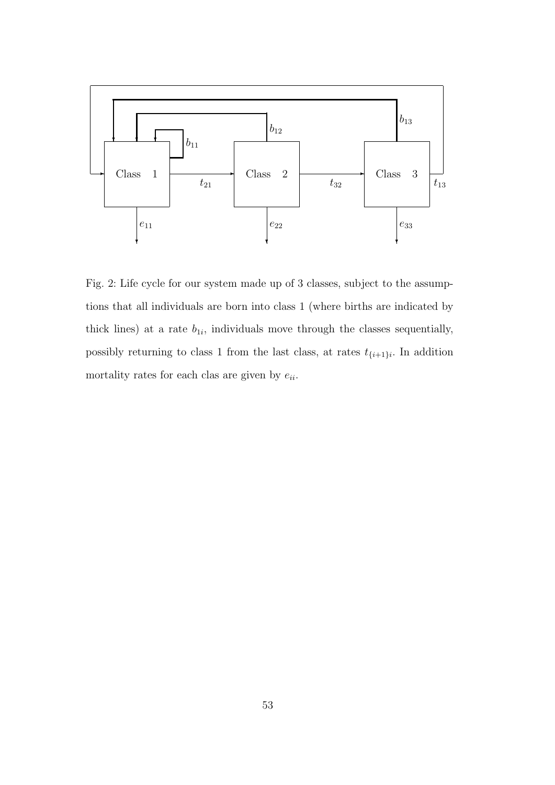

Fig. 2: Life cycle for our system made up of 3 classes, subject to the assumptions that all individuals are born into class 1 (where births are indicated by thick lines) at a rate  $b_{1i}$ , individuals move through the classes sequentially, possibly returning to class 1 from the last class, at rates  $t_{\{i+1\}i}$ . In addition mortality rates for each clas are given by  $e_{ii}$ .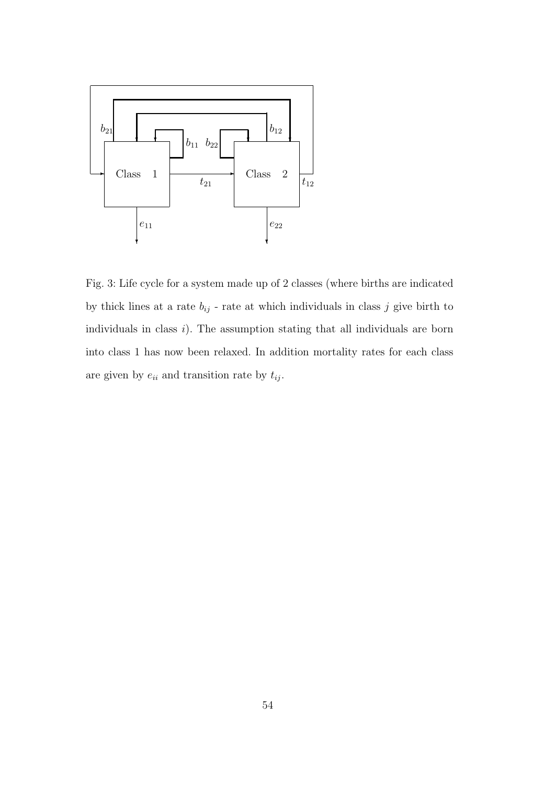

Fig. 3: Life cycle for a system made up of 2 classes (where births are indicated by thick lines at a rate  $b_{ij}$  - rate at which individuals in class  $j$  give birth to individuals in class *i*). The assumption stating that all individuals are born into class 1 has now been relaxed. In addition mortality rates for each class are given by  $e_{ii}$  and transition rate by  $t_{ij}$ .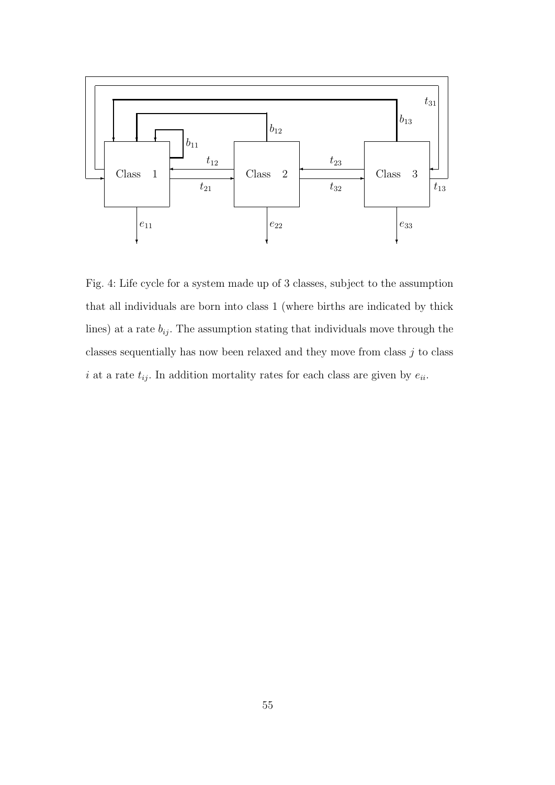

Fig. 4: Life cycle for a system made up of 3 classes, subject to the assumption that all individuals are born into class 1 (where births are indicated by thick lines) at a rate  $b_{ij}$ . The assumption stating that individuals move through the classes sequentially has now been relaxed and they move from class *j* to class *i* at a rate  $t_{ij}$ . In addition mortality rates for each class are given by  $e_{ii}$ .